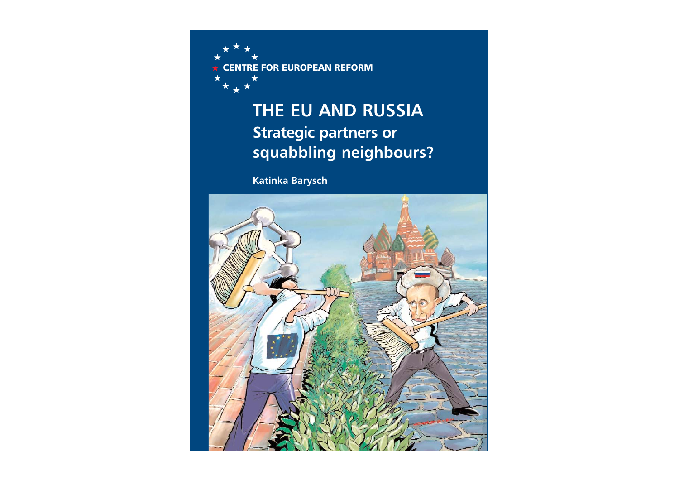

# **THE EU AND RUSSIA Strategic partners or squabbling neighbours?**

**Katinka Barysch** 

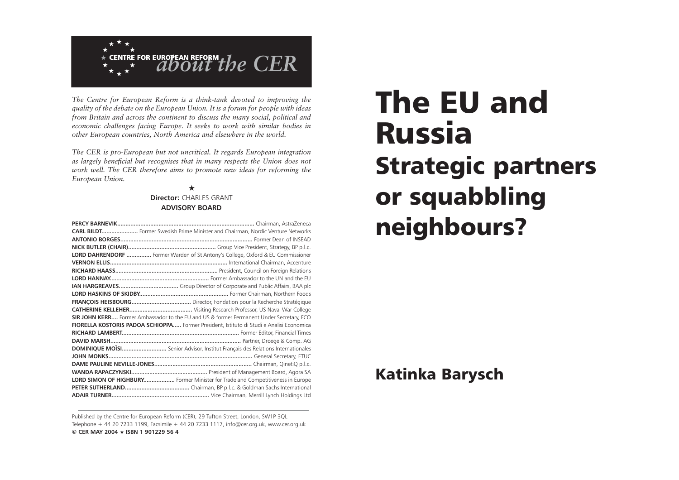

*The Centre for European Reform is a think-tank devoted to improving the quality of the debate on the European Union. It is a forum for people with ideas from Britain and across the continent to discuss the many social, political and economic challenges facing Europe. It seeks to work with similar bodies in other European countries, North America and elsewhere in the world.*

*The CER is pro-European but not uncritical. It regards European integration as largely beneficial but recognises that in many respects the Union does not work well. The CER therefore aims to promote new ideas for reforming the European Union.*

## ★**Director:** CHARLES GRANT**ADVISORY BOARD**

| <b>CARL BILDT</b> Former Swedish Prime Minister and Chairman, Nordic Venture Networks     |
|-------------------------------------------------------------------------------------------|
|                                                                                           |
|                                                                                           |
| LORD DAHRENDORF  Former Warden of St Antony's College, Oxford & EU Commissioner           |
|                                                                                           |
|                                                                                           |
|                                                                                           |
|                                                                                           |
|                                                                                           |
|                                                                                           |
|                                                                                           |
| SIR JOHN KERR Former Ambassador to the EU and US & former Permanent Under Secretary, FCO  |
| FIORELLA KOSTORIS PADOA SCHIOPPA  Former President, Istituto di Studi e Analisi Economica |
|                                                                                           |
|                                                                                           |
| DOMINIQUE MOÏSI Senior Advisor, Institut Français des Relations Internationales           |
|                                                                                           |
|                                                                                           |
|                                                                                           |
| LORD SIMON OF HIGHBURY Former Minister for Trade and Competitiveness in Europe            |
|                                                                                           |
|                                                                                           |

Published by the Centre for European Reform (CER), 29 Tufton Street, London, SW1P 3QL Telephone + 44 20 7233 1199, Facsimile + 44 20 7233 1117, info@cer.org.uk, www.cer.org.uk **© CER MAY 2004** ★ **ISBN 1 901229 56 4**

# The EU andRussia Strategic partners or squabbling neighbours?

# Katinka Barysch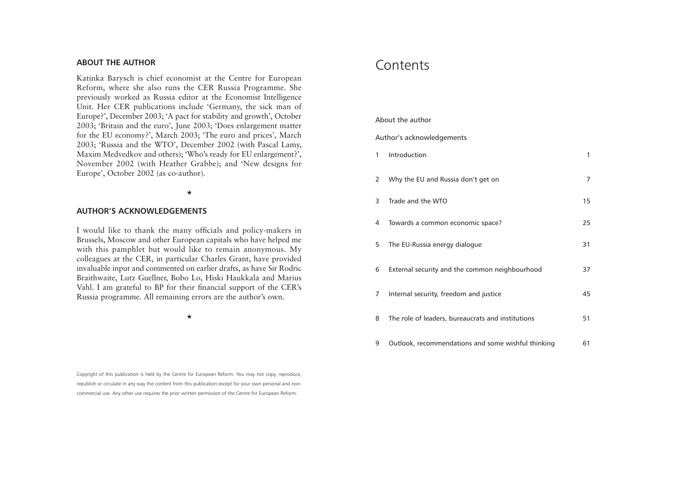# **ABOUT THE AUTHOR**

Katinka Barysch is chief economist at the Centre for European Reform, where she also runs the CER Russia Programme. She previously worked as Russia editor at the Economist Intelligence Unit. Her CER publications include 'Germany, the sick man of Europe?', December 2003; 'A pact for stability and growth', October 2003; 'Britain and the euro', June 2003; 'Does enlargement matter for the EU economy?', March 2003; 'The euro and prices', March 2003; 'Russia and the WTO', December 2002 (with Pascal Lamy, Maxim Medvedkov and others); 'Who's ready for EU enlargement?', November 2002 (with Heather Grabbe); and 'New designs for Europe', October 2002 (as co-author).

#### ★

#### **AUTHOR'S ACKNOWLEDGEMENTS**

I would like to thank the many officials and policy-makers in Brussels, Moscow and other European capitals who have helped me with this pamphlet but would like to remain anonymous. My colleagues at the CER, in particular Charles Grant, have provided invaluable input and commented on earlier drafts, as have Sir Rodric Braithwaite, Lutz Guellner, Bobo Lo, Hiski Haukkala and Marius Vahl. I am grateful to BP for their financial support of the CER's Russia programme. All remaining errors are the author's own.

★

Copyright of this publication is held by the Centre for European Reform. You may not copy, reproduce, republish or circulate in any way the content from this publication except for your own personal and noncommercial use. Any other use requires the prior written permission of the Centre for European Reform.

# **Contents**

#### About the author

#### Author's acknowledgements

| 1 | Introduction                                       | 1  |
|---|----------------------------------------------------|----|
| 2 | Why the EU and Russia don't get on                 | 7  |
| 3 | Trade and the WTO                                  | 15 |
| 4 | Towards a common economic space?                   | 25 |
| 5 | The EU-Russia energy dialogue                      | 31 |
| 6 | External security and the common neighbourhood     | 37 |
| 7 | Internal security, freedom and justice             | 45 |
| 8 | The role of leaders, bureaucrats and institutions  | 51 |
| 9 | Outlook, recommendations and some wishful thinking | 61 |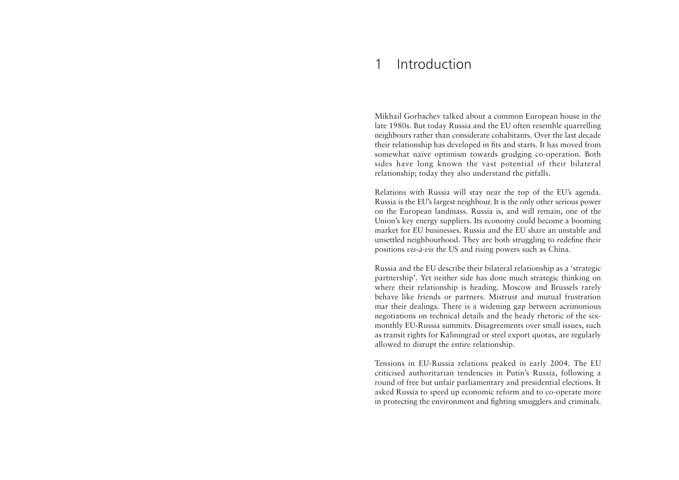#### 1Introduction

Mikhail Gorbachev talked about a common European house in the late 1980s. But today Russia and the EU often resemble quarrelling neighbours rather than considerate cohabitants. Over the last decade their relationship has developed in fits and starts. It has moved from somewhat naïve optimism towards grudging co-operation. Both sides have long known the vast potential of their bilateral relationship; today they also understand the pitfalls.

Relations with Russia will stay near the top of the EU's agenda. Russia is the EU's largest neighbour. It is the only other serious power on the European landmass. Russia is, and will remain, one of the Union's key energy suppliers. Its economy could become a booming market for EU businesses. Russia and the EU share an unstable and unsettled neighbourhood. They are both struggling to redefine their positions *vis-à-vis* the US and rising powers such as China.

Russia and the EU describe their bilateral relationship as a 'strategic partnership'. Yet neither side has done much strategic thinking on where their relationship is heading. Moscow and Brussels rarely behave like friends or partners. Mistrust and mutual frustration mar their dealings. There is a widening gap between acrimonious negotiations on technical details and the heady rhetoric of the sixmonthly EU-Russia summits. Disagreements over small issues, such as transit rights for Kaliningrad or steel export quotas, are regularly allowed to disrupt the entire relationship.

Tensions in EU-Russia relations peaked in early 2004. The EU criticised authoritarian tendencies in Putin's Russia, following a round of free but unfair parliamentary and presidential elections. It asked Russia to speed up economic reform and to co-operate more in protecting the environment and fighting smugglers and criminals.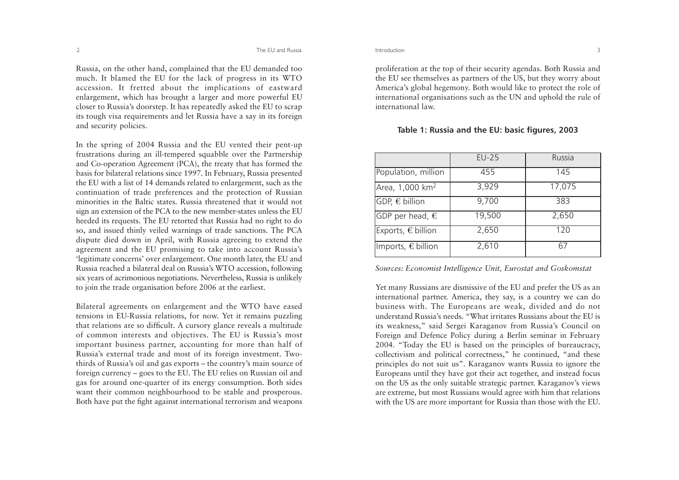Russia, on the other hand, complained that the EU demanded too much. It blamed the EU for the lack of progress in its WTO accession. It fretted about the implications of eastward enlargement, which has brought a larger and more powerful EU closer to Russia's doorstep. It has repeatedly asked the EU to scrap its tough visa requirements and let Russia have a say in its foreign and security policies.

In the spring of 2004 Russia and the EU vented their pent-up frustrations during an ill-tempered squabble over the Partnership and Co-operation Agreement (PCA), the treaty that has formed the basis for bilateral relations since 1997. In February, Russia presented the EU with a list of 14 demands related to enlargement, such as the continuation of trade preferences and the protection of Russian minorities in the Baltic states. Russia threatened that it would notsign an extension of the PCA to the new member-states unless the EU heeded its requests. The EU retorted that Russia had no right to do so, and issued thinly veiled warnings of trade sanctions. The PCA dispute died down in April, with Russia agreeing to extend the agreement and the EU promising to take into account Russia's 'legitimate concerns' over enlargement. One month later, the EU and Russia reached a bilateral deal on Russia's WTO accession, following six years of acrimonious negotiations. Nevertheless, Russia is unlikely to join the trade organisation before 2006 at the earliest.

Bilateral agreements on enlargement and the WTO have eased tensions in EU-Russia relations, for now. Yet it remains puzzling that relations are so difficult. A cursory glance reveals a multitude of common interests and objectives. The EU is Russia's most important business partner, accounting for more than half of Russia's external trade and most of its foreign investment. Twothirds of Russia's oil and gas exports – the country's main source of foreign currency – goes to the EU. The EU relies on Russian oil and gas for around one-quarter of its energy consumption. Both sides want their common neighbourhood to be stable and prosperous. Both have put the fight against international terrorism and weapons

proliferation at the top of their security agendas. Both Russia and the EU see themselves as partners of the US, but they worry about America's global hegemony. Both would like to protect the role of international organisations such as the UN and uphold the rule of international law.

### **Table 1: Russia and the EU: basic figures, 2003**

|                             | $EU-25$ | Russia |
|-----------------------------|---------|--------|
| Population, million         | 455     | 145    |
| Area, 1,000 km <sup>2</sup> | 3,929   | 17,075 |
| GDP, € billion              | 9,700   | 383    |
| GDP per head, $\epsilon$    | 19,500  | 2,650  |
| Exports, $\epsilon$ billion | 2,650   | 120    |
| Imports, $\epsilon$ billion | 2,610   | 67     |

#### *Sources: Economist Intelligence Unit, Eurostat and Goskomstat*

Yet many Russians are dismissive of the EU and prefer the US as an international partner. America, they say, is a country we can do business with. The Europeans are weak, divided and do not understand Russia's needs. "What irritates Russians about the EU isits weakness," said Sergei Karaganov from Russia's Council on Foreign and Defence Policy during a Berlin seminar in February 2004. "Today the EU is based on the principles of bureaucracy, collectivism and political correctness," he continued, "and these principles do not suit us". Karaganov wants Russia to ignore the Europeans until they have got their act together, and instead focus on the US as the only suitable strategic partner. Karaganov's views are extreme, but most Russians would agree with him that relations with the US are more important for Russia than those with the EU.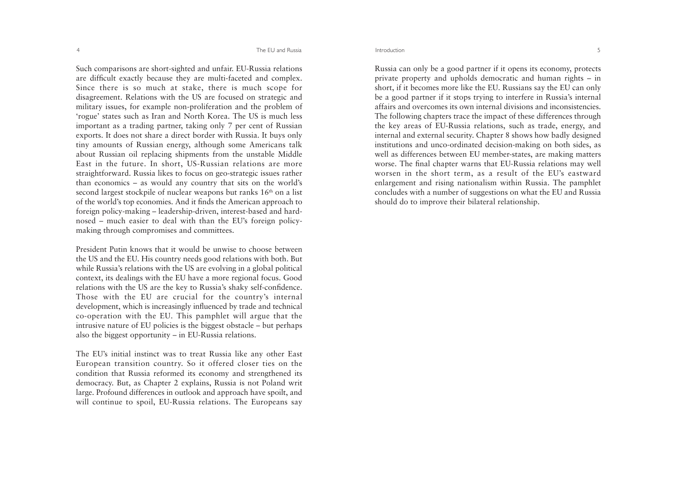Such comparisons are short-sighted and unfair. EU-Russia relations are difficult exactly because they are multi-faceted and complex. Since there is so much at stake, there is much scope for disagreement. Relations with the US are focused on strategic and military issues, for example non-proliferation and the problem of 'rogue' states such as Iran and North Korea. The US is much less important as a trading partner, taking only 7 per cent of Russian exports. It does not share a direct border with Russia. It buys only tiny amounts of Russian energy, although some Americans talk about Russian oil replacing shipments from the unstable Middle East in the future. In short, US-Russian relations are more straightforward. Russia likes to focus on geo-strategic issues rather than economics – as would any country that sits on the world's second largest stockpile of nuclear weapons but ranks 16<sup>th</sup> on a list of the world's top economies. And it finds the American approach to foreign policy-making – leadership-driven, interest-based and hardnosed – much easier to deal with than the EU's foreign policymaking through compromises and committees.

President Putin knows that it would be unwise to choose betweenthe US and the EU. His country needs good relations with both. But while Russia's relations with the US are evolving in a global political context, its dealings with the EU have a more regional focus. Good relations with the US are the key to Russia's shaky self-confidence. Those with the EU are crucial for the country's internal development, which is increasingly influenced by trade and technical co-operation with the EU. This pamphlet will argue that the intrusive nature of EU policies is the biggest obstacle – but perhaps also the biggest opportunity – in EU-Russia relations.

The EU's initial instinct was to treat Russia like any other East European transition country. So it offered closer ties on the condition that Russia reformed its economy and strengthened its democracy. But, as Chapter 2 explains, Russia is not Poland writ large. Profound differences in outlook and approach have spoilt, and will continue to spoil, EU-Russia relations. The Europeans say

Russia can only be a good partner if it opens its economy, protects private property and upholds democratic and human rights – in short, if it becomes more like the EU. Russians say the EU can only be a good partner if it stops trying to interfere in Russia's internal affairs and overcomes its own internal divisions and inconsistencies.The following chapters trace the impact of these differences through the key areas of EU-Russia relations, such as trade, energy, and internal and external security. Chapter 8 shows how badly designed institutions and unco-ordinated decision-making on both sides, as well as differences between EU member-states, are making matters worse. The final chapter warns that EU-Russia relations may well worsen in the short term, as a result of the EU's eastward enlargement and rising nationalism within Russia. The pamphlet concludes with a number of suggestions on what the EU and Russia should do to improve their bilateral relationship.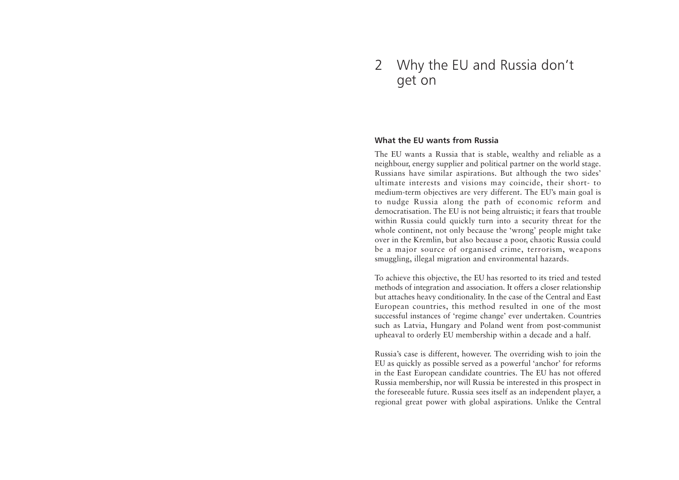# 2 Why the EU and Russia don't get on

# **What the EU wants from Russia**

The EU wants a Russia that is stable, wealthy and reliable as a neighbour, energy supplier and political partner on the world stage. Russians have similar aspirations. But although the two sides' ultimate interests and visions may coincide, their short- to medium-term objectives are very different. The EU's main goal is to nudge Russia along the path of economic reform and democratisation. The EU is not being altruistic; it fears that trouble within Russia could quickly turn into a security threat for the whole continent, not only because the 'wrong' people might take over in the Kremlin, but also because a poor, chaotic Russia could be a major source of organised crime, terrorism, weapons smuggling, illegal migration and environmental hazards.

To achieve this objective, the EU has resorted to its tried and tested methods of integration and association. It offers a closer relationship but attaches heavy conditionality. In the case of the Central and East European countries, this method resulted in one of the most successful instances of 'regime change' ever undertaken. Countries such as Latvia, Hungary and Poland went from post-communist upheaval to orderly EU membership within a decade and a half.

Russia's case is different, however. The overriding wish to join the EU as quickly as possible served as a powerful 'anchor' for reforms in the East European candidate countries. The EU has not offered Russia membership, nor will Russia be interested in this prospect in the foreseeable future. Russia sees itself as an independent player, a regional great power with global aspirations. Unlike the Central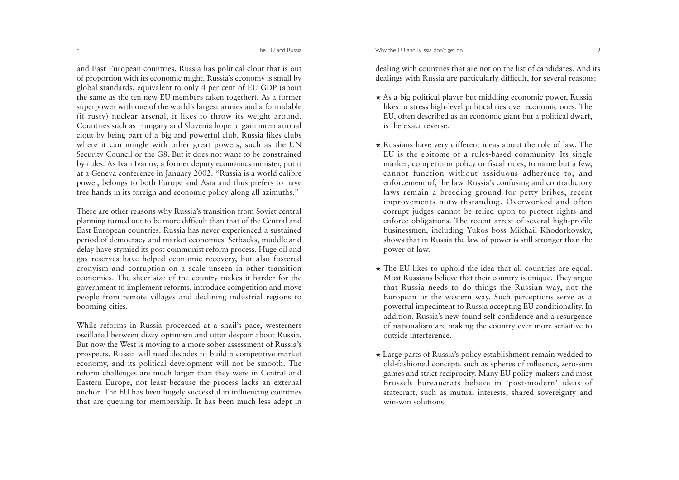#### The EU and Russia **The EU and Russia Community** COMEX 1999 9 9 9 9 9 9 9 9 9 9 9 9 9 9 1 1 2 3 1 2 3 1 2 3 1 2 3 1 2 3 1 2 3 1 2 3 1 2 3 1 2 3 1 2 3 1 2 3 1 2 3 1 2 3 1 2 3 1 2 3 1 2 3 1 2 3 1 2 3 1 2 3 1 2 3 1 2 3 1 2 3 1

and East European countries, Russia has political clout that is out of proportion with its economic might. Russia's economy is small by <sup>g</sup>lobal standards, equivalent to only 4 per cent of EU GDP (about the same as the ten new EU members taken together). As a former superpower with one of the world's largest armies and a formidable (if rusty) nuclear arsenal, it likes to throw its weight around. Countries such as Hungary and Slovenia hope to gain international clout by being part of a big and powerful club. Russia likes clubs where it can mingle with other great powers, such as the UN Security Council or the G8. But it does not want to be constrained by rules. As Ivan Ivanov, a former deputy economics minister, put it at a Geneva conference in January 2002: "Russia is a world calibre power, belongs to both Europe and Asia and thus prefers to have free hands in its foreign and economic policy along all azimuths."

There are other reasons why Russia's transition from Soviet central <sup>p</sup>lanning turned out to be more difficult than that of the Central and East European countries. Russia has never experienced a sustained period of democracy and market economics. Setbacks, muddle and delay have stymied its post-communist reform process. Huge oil and gas reserves have helped economic recovery, but also fostered cronyism and corruption on a scale unseen in other transition economies. The sheer size of the country makes it harder for the government to implement reforms, introduce competition and move people from remote villages and declining industrial regions to booming cities.

While reforms in Russia proceeded at a snail's pace, westerners oscillated between dizzy optimism and utter despair about Russia. But now the West is moving to a more sober assessment of Russia's prospects. Russia will need decades to build a competitive market economy, and its political development will not be smooth. The reform challenges are much larger than they were in Central and Eastern Europe, not least because the process lacks an external anchor. The EU has been hugely successful in influencing countries that are queuing for membership. It has been much less adept in

dealing with countries that are not on the list of candidates. And its dealings with Russia are particularly difficult, for several reasons:

- ★ As a big political player but middling economic power, Russia likes to stress high-level political ties over economic ones. The EU, often described as an economic giant but a political dwarf, is the exact reverse.
- ★ Russians have very different ideas about the role of law. The EU is the epitome of a rules-based community. Its single market, competition policy or fiscal rules, to name but a few, cannot function without assiduous adherence to, and enforcement of, the law. Russia's confusing and contradictory laws remain a breeding ground for petty bribes, recent improvements notwithstanding. Overworked and often corrupt judges cannot be relied upon to protect rights and enforce obligations. The recent arrest of several high-profile businessmen, including Yukos boss Mikhail Khodorkovsky, shows that in Russia the law of power is still stronger than the power of law.
- ★ The EU likes to uphold the idea that all countries are equal. Most Russians believe that their country is unique. They argue that Russia needs to do things the Russian way, not the European or the western way. Such perceptions serve as a powerful impediment to Russia accepting EU conditionality. In addition, Russia's new-found self-confidence and a resurgence of nationalism are making the country ever more sensitive to outside interference.
- ★ Large parts of Russia's policy establishment remain wedded to old-fashioned concepts such as spheres of influence, zero-sum games and strict reciprocity. Many EU policy-makers and most Brussels bureaucrats believe in 'post-modern' ideas of statecraft, such as mutual interests, shared sovereignty and win-win solutions.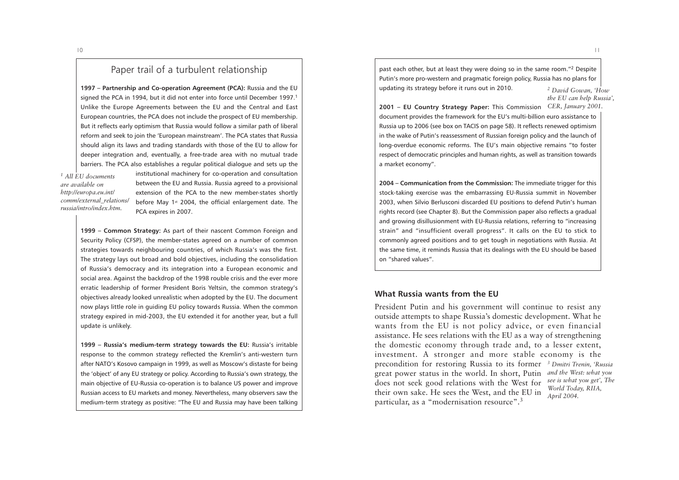10

# Paper trail of a turbulent relationship

**1997 – Partnership and Co-operation Agreement (PCA):** Russia and the EU signed the PCA in 1994, but it did not enter into force until December 1997.<sup>1</sup> Unlike the Europe Agreements between the EU and the Central and East European countries, the PCA does not include the prospect of EU membership. But it reflects early optimism that Russia would follow a similar path of liberal reform and seek to join the 'European mainstream'. The PCA states that Russia should align its laws and trading standards with those of the EU to allow for deeper integration and, eventually, a free-trade area with no mutual trade barriers. The PCA also establishes a regular political dialogue and sets up the

*1 All EU documents are available onhttp://europa.eu.int/ comm/external\_relations/ russia/intro/index.htm.* 

institutional machinery for co-operation and consultation between the EU and Russia. Russia agreed to a provisional extension of the PCA to the new member-states shortly before May 1<sup>st</sup> 2004, the official enlargement date. The PCA expires in 2007.

**1999 – Common Strategy:** As part of their nascent Common Foreign and Security Policy (CFSP), the member-states agreed on a number of common strategies towards neighbouring countries, of which Russia's was the first. The strategy lays out broad and bold objectives, including the consolidation of Russia's democracy and its integration into a European economic and social area. Against the backdrop of the 1998 rouble crisis and the ever more erratic leadership of former President Boris Yeltsin, the common strategy's objectives already looked unrealistic when adopted by the EU. The document now plays little role in guiding EU policy towards Russia. When the common strategy expired in mid-2003, the EU extended it for another year, but a full update is unlikely.

**1999 – Russia's medium-term strategy towards the EU:** Russia's irritable response to the common strategy reflected the Kremlin's anti-western turn after NATO's Kosovo campaign in 1999, as well as Moscow's distaste for being the 'object' of any EU strategy or policy. According to Russia's own strategy, the main objective of EU-Russia co-operation is to balance US power and improve Russian access to EU markets and money. Nevertheless, many observers saw the medium-term strategy as positive: "The EU and Russia may have been talking past each other, but at least they were doing so in the same room."2 Despite Putin's more pro-western and pragmatic foreign policy, Russia has no plans for updating its strategy before it runs out in 2010. *2 David Gowan, 'How*

*the EU can help Russia',*

**2001 – EU Country Strategy Paper:** This Commission *CER, January 2001.*  document provides the framework for the EU's multi-billion euro assistance to Russia up to 2006 (see box on TACIS on page 58). It reflects renewed optimism in the wake of Putin's reassessment of Russian foreign policy and the launch of long-overdue economic reforms. The EU's main objective remains "to foster respect of democratic principles and human rights, as well as transition towards a market economy".

**2004 – Communication from the Commission:** The immediate trigger for this stock-taking exercise was the embarrassing EU-Russia summit in November 2003, when Silvio Berlusconi discarded EU positions to defend Putin's human rights record (see Chapter 8). But the Commission paper also reflects a gradual and growing disillusionment with EU-Russia relations, referring to "increasing strain" and "insufficient overall progress". It calls on the EU to stick to commonly agreed positions and to get tough in negotiations with Russia. At the same time, it reminds Russia that its dealings with the EU should be based on "shared values".

# **What Russia wants from the EU**

President Putin and his government will continue to resist any outside attempts to shape Russia's domestic development. What he wants from the EU is not policy advice, or even financial assistance. He sees relations with the EU as a way of strengthening the domestic economy through trade and, to a lesser extent, investment. A stronger and more stable economy is the precondition for restoring Russia to its former *3 Dmitri Trenin, 'Russia* great power status in the world. In short, Putin *and the West: what you* does not seek good relations with the West for *see is what you get', The* their own sake. He sees the West, and the EU in particular, as a "modernisation resource".3 *World Today, RIIA, April 2004.*

 $\overline{11}$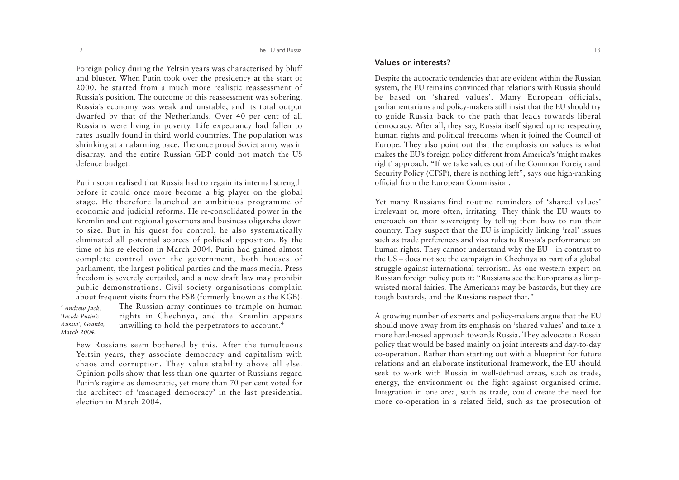Foreign policy during the Yeltsin years was characterised by bluff and bluster. When Putin took over the presidency at the start of 2000, he started from a much more realistic reassessment of Russia's position. The outcome of this reassessment was sobering. Russia's economy was weak and unstable, and its total output dwarfed by that of the Netherlands. Over 40 per cent of all Russians were living in poverty. Life expectancy had fallen to rates usually found in third world countries. The population was shrinking at an alarming pace. The once proud Soviet army was in disarray, and the entire Russian GDP could not match the US defence budget.

Putin soon realised that Russia had to regain its internal strength before it could once more become a big player on the global stage. He therefore launched an ambitious programme of economic and judicial reforms. He re-consolidated power in the Kremlin and cut regional governors and business oligarchs down to size. But in his quest for control, he also systematically eliminated all potential sources of political opposition. By the time of his re-election in March 2004, Putin had gained almost complete control over the government, both houses of parliament, the largest political parties and the mass media. Press freedom is severely curtailed, and a new draft law may prohibit public demonstrations. Civil society organisations complain about frequent visits from the FSB (formerly known as the KGB).

The Russian army continues to trample on human rights in Chechnya, and the Kremlin appears unwilling to hold the perpetrators to account.4 *4 Andrew Jack, 'Inside Putin's Russia', Granta, March 2004.*

Few Russians seem bothered by this. After the tumultuous Yeltsin years, they associate democracy and capitalism with chaos and corruption. They value stability above all else. Opinion polls show that less than one-quarter of Russians regard Putin's regime as democratic, yet more than 70 per cent voted for the architect of 'managed democracy' in the last presidential election in March 2004.

## **Values or interests?**

Despite the autocratic tendencies that are evident within the Russian system, the EU remains convinced that relations with Russia should be based on 'shared values'. Many European officials, parliamentarians and policy-makers still insist that the EU should try to guide Russia back to the path that leads towards liberal democracy. After all, they say, Russia itself signed up to respecting human rights and political freedoms when it joined the Council of Europe. They also point out that the emphasis on values is what makes the EU's foreign policy different from America's 'might makes right' approach. "If we take values out of the Common Foreign and Security Policy (CFSP), there is nothing left", says one high-ranking official from the European Commission.

Yet many Russians find routine reminders of 'shared values' irrelevant or, more often, irritating. They think the EU wants to encroach on their sovereignty by telling them how to run their country. They suspect that the EU is implicitly linking 'real' issues such as trade preferences and visa rules to Russia's performance on human rights. They cannot understand why the EU – in contrast to the US – does not see the campaign in Chechnya as part of a global struggle against international terrorism. As one western expert on Russian foreign policy puts it: "Russians see the Europeans as limpwristed moral fairies. The Americans may be bastards, but they are tough bastards, and the Russians respect that."

A growing number of experts and policy-makers argue that the EU should move away from its emphasis on 'shared values' and take a more hard-nosed approach towards Russia. They advocate a Russia policy that would be based mainly on joint interests and day-to-day co-operation. Rather than starting out with a blueprint for future relations and an elaborate institutional framework, the EU should seek to work with Russia in well-defined areas, such as trade, energy, the environment or the fight against organised crime. Integration in one area, such as trade, could create the need for more co-operation in a related field, such as the prosecution of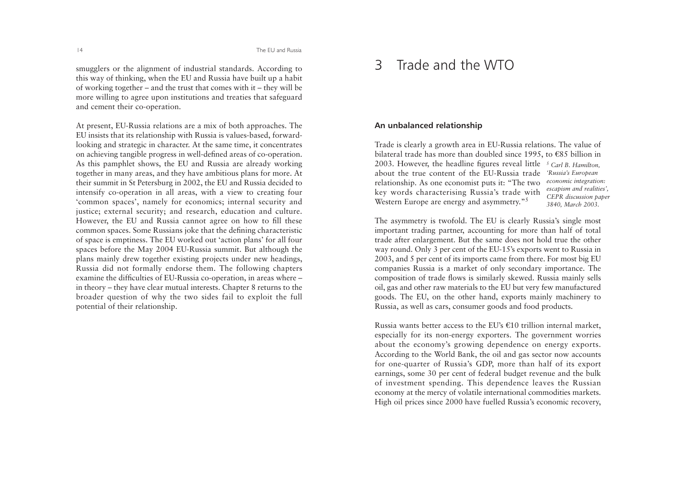smugglers or the alignment of industrial standards. According to this way of thinking, when the EU and Russia have built up a habit of working together – and the trust that comes with it – they will be more willing to agree upon institutions and treaties that safeguard and cement their co-operation.

At present, EU-Russia relations are a mix of both approaches. The EU insists that its relationship with Russia is values-based, forwardlooking and strategic in character. At the same time, it concentrates on achieving tangible progress in well-defined areas of co-operation. As this pamphlet shows, the EU and Russia are already working together in many areas, and they have ambitious plans for more. At their summit in St Petersburg in 2002, the EU and Russia decided to intensify co-operation in all areas, with a view to creating four 'common spaces', namely for economics; internal security and justice; external security; and research, education and culture. However, the EU and Russia cannot agree on how to fill these common spaces. Some Russians joke that the defining characteristic of space is emptiness. The EU worked out 'action plans' for all four spaces before the May 2004 EU-Russia summit. But although the <sup>p</sup>lans mainly drew together existing projects under new headings, Russia did not formally endorse them. The following chapters examine the difficulties of EU-Russia co-operation, in areas where – in theory – they have clear mutual interests. Chapter 8 returns to the broader question of why the two sides fail to exploit the full potential of their relationship.

# 3 Trade and the WTO

### **An unbalanced relationship**

Trade is clearly a growth area in EU-Russia relations. The value of bilateral trade has more than doubled since 1995, to  $\epsilon$ 85 billion in 2003. However, the headline figures reveal little *5 Carl B. Hamilton,* about the true content of the EU-Russia trade*'Russia's European*  relationship. As one economist puts it: "The two key words characterising Russia's trade with Western Europe are energy and asymmetry."<sup>5</sup> *economic integration: escapism and realities', CEPR discussion paper 3840, March 2003.*

The asymmetry is twofold. The EU is clearly Russia's single most important trading partner, accounting for more than half of total trade after enlargement. But the same does not hold true the other way round. Only 3 per cent of the EU-15's exports went to Russia in 2003, and 5 per cent of its imports came from there. For most big EU companies Russia is a market of only secondary importance. The composition of trade flows is similarly skewed. Russia mainly sells oil, gas and other raw materials to the EU but very few manufactured goods. The EU, on the other hand, exports mainly machinery to Russia, as well as cars, consumer goods and food products.

Russia wants better access to the EU's  $\epsilon$ 10 trillion internal market, especially for its non-energy exporters. The government worries about the economy's growing dependence on energy exports. According to the World Bank, the oil and gas sector now accounts for one-quarter of Russia's GDP, more than half of its export earnings, some 30 per cent of federal budget revenue and the bulk of investment spending. This dependence leaves the Russian economy at the mercy of volatile international commodities markets. High oil prices since 2000 have fuelled Russia's economic recovery,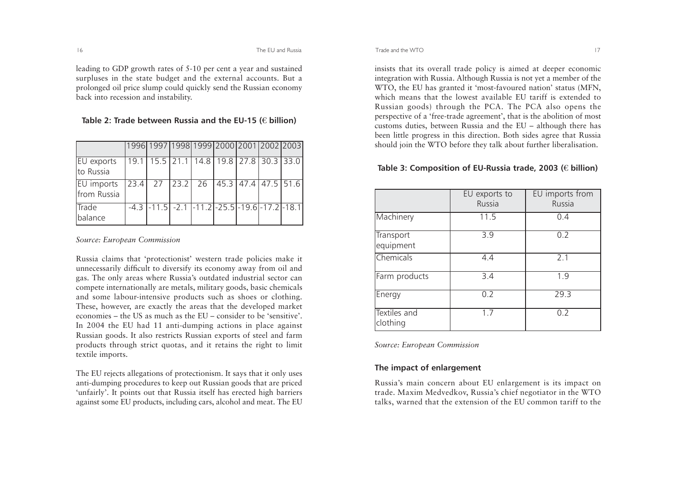The EU and Russia

leading to GDP growth rates of 5-10 per cent a year and sustained surpluses in the state budget and the external accounts. But a prolonged oil price slump could quickly send the Russian economy back into recession and instability.

|                           | 1996 1997 1998 1999 2000 2001 2002 2003                                                                           |  |  |  |
|---------------------------|-------------------------------------------------------------------------------------------------------------------|--|--|--|
| EU exports<br>to Russia   | 19.1   15.5   21.1   14.8   19.8   27.8   30.3   33.0                                                             |  |  |  |
| EU imports<br>from Russia | $23.4$ 27 23.2 26 45.3 47.4 47.5 51.6                                                                             |  |  |  |
| Trade<br>balance          | $-4.3$ $\left[-11.5\right]$ $-2.1$ $\left[-11.2\right]$ $-25.5$ $\left[-19.6\right]$ $-17.2$ $\left[-18.1\right]$ |  |  |  |

#### **Table 2: Trade between Russia and the EU-15 (€ billion)**

#### *Source: European Commission*

Russia claims that 'protectionist' western trade policies make it unnecessarily difficult to diversify its economy away from oil and gas. The only areas where Russia's outdated industrial sector can compete internationally are metals, military goods, basic chemicals and some labour-intensive products such as shoes or clothing. These, however, are exactly the areas that the developed market economies – the US as much as the EU – consider to be 'sensitive'. In 2004 the EU had 11 anti-dumping actions in place against Russian goods. It also restricts Russian exports of steel and farm products through strict quotas, and it retains the right to limit textile imports.

The EU rejects allegations of protectionism. It says that it only uses anti-dumping procedures to keep out Russian goods that are priced 'unfairly'. It points out that Russia itself has erected high barriers against some EU products, including cars, alcohol and meat. The EU

insists that its overall trade policy is aimed at deeper economic integration with Russia. Although Russia is not yet a member of the WTO, the EU has granted it 'most-favoured nation' status (MFN, which means that the lowest available EU tariff is extended toRussian goods) through the PCA. The PCA also opens the perspective of a 'free-trade agreement', that is the abolition of most customs duties, between Russia and the EU – although there has been little progress in this direction. Both sides agree that Russia should join the WTO before they talk about further liberalisation.

## **Table 3: Composition of EU-Russia trade, 2003 (€ billion)**

|                          | EU exports to<br>Russia | EU imports from<br>Russia |
|--------------------------|-------------------------|---------------------------|
| Machinery                | 11.5                    | 0.4                       |
| Transport<br>equipment   | 3.9                     | 0.2                       |
| Chemicals                | 4.4                     | 2.1                       |
| Farm products            | $\overline{3.4}$        | 1.9                       |
| Energy                   | 0.2                     | 29.3                      |
| Textiles and<br>clothing | 1.7                     | 0.2                       |

*Source: European Commission*

# **The impact of enlargement**

Russia's main concern about EU enlargement is its impact on trade. Maxim Medvedkov, Russia's chief negotiator in the WTO talks, warned that the extension of the EU common tariff to the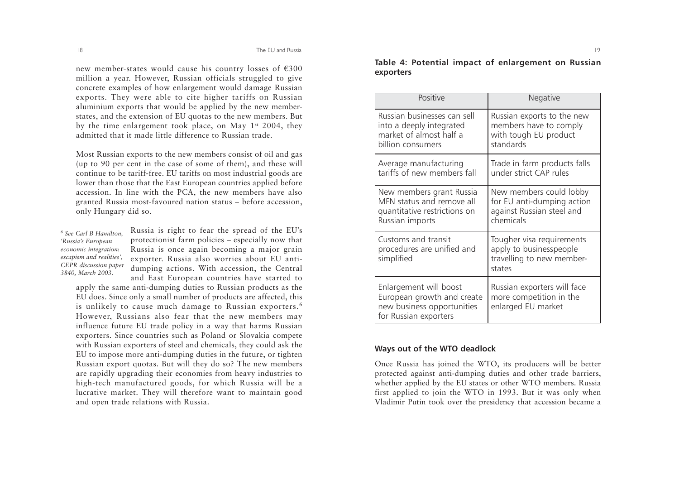new member-states would cause his country losses of  $\epsilon$ 300 million a year. However, Russian officials struggled to give concrete examples of how enlargement would damage Russian exports. They were able to cite higher tariffs on Russian aluminium exports that would be applied by the new memberstates, and the extension of EU quotas to the new members. But by the time enlargement took place, on May 1st 2004, they admitted that it made little difference to Russian trade.

Most Russian exports to the new members consist of oil and gas (up to 90 per cent in the case of some of them), and these will continue to be tariff-free. EU tariffs on most industrial goods are lower than those that the East European countries applied before accession. In line with the PCA, the new members have also granted Russia most-favoured nation status – before accession, only Hungary did so.

*6 See Carl B Hamilton, 'Russia's European economic integration: escapism and realities', CEPR discussion paper 3840, March 2003.*

Russia is right to fear the spread of the EU's protectionist farm policies – especially now that Russia is once again becoming a major grain exporter. Russia also worries about EU antidumping actions. With accession, the Central and East European countries have started to

apply the same anti-dumping duties to Russian products as the EU does. Since only a small number of products are affected, this is unlikely to cause much damage to Russian exporters.<sup>6</sup> However, Russians also fear that the new members may influence future EU trade policy in a way that harms Russian exporters. Since countries such as Poland or Slovakia compete with Russian exporters of steel and chemicals, they could ask the EU to impose more anti-dumping duties in the future, or tighten Russian export quotas. But will they do so? The new members are rapidly upgrading their economies from heavy industries to high-tech manufactured goods, for which Russia will be a lucrative market. They will therefore want to maintain good and open trade relations with Russia.

**Table 4: Potential impact of enlargement on Russian exporters** 

| Positive                                                                                                    | Negative                                                                                    |
|-------------------------------------------------------------------------------------------------------------|---------------------------------------------------------------------------------------------|
| Russian businesses can sell                                                                                 | Russian exports to the new                                                                  |
| into a deeply integrated                                                                                    | members have to comply                                                                      |
| market of almost half a                                                                                     | with tough EU product                                                                       |
| billion consumers                                                                                           | standards                                                                                   |
| Average manufacturing                                                                                       | Trade in farm products falls                                                                |
| tariffs of new members fall                                                                                 | under strict CAP rules                                                                      |
| New members grant Russia                                                                                    | New members could lobby                                                                     |
| MFN status and remove all                                                                                   | for EU anti-dumping action                                                                  |
| quantitative restrictions on                                                                                | against Russian steel and                                                                   |
| Russian imports                                                                                             | chemicals                                                                                   |
| Customs and transit<br>procedures are unified and<br>simplified                                             | Tougher visa requirements<br>apply to businesspeople<br>travelling to new member-<br>states |
| Enlargement will boost<br>European growth and create<br>new business opportunities<br>for Russian exporters | Russian exporters will face<br>more competition in the<br>enlarged EU market                |

# **Ways out of the WTO deadlock**

Once Russia has joined the WTO, its producers will be better protected against anti-dumping duties and other trade barriers, whether applied by the EU states or other WTO members. Russia first applied to join the WTO in 1993. But it was only when Vladimir Putin took over the presidency that accession became a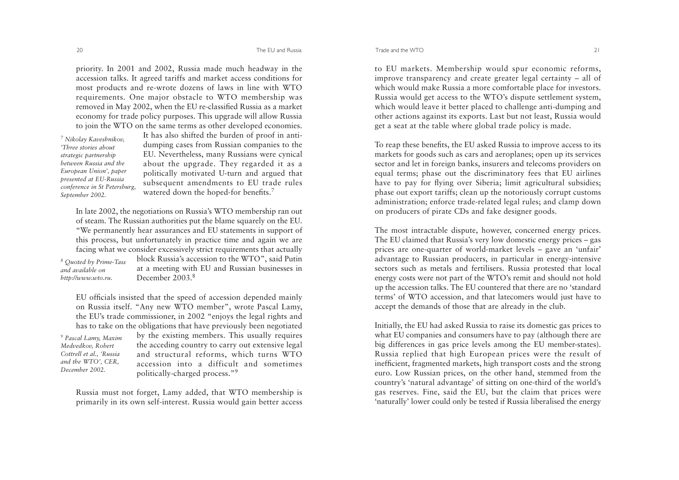The EU and Russia

priority. In 2001 and 2002, Russia made much headway in the accession talks. It agreed tariffs and market access conditions for most products and re-wrote dozens of laws in line with WTO requirements. One major obstacle to WTO membership was removed in May 2002, when the EU re-classified Russia as a market economy for trade policy purposes. This upgrade will allow Russia to join the WTO on the same terms as other developed economies.

*7 Nikolay Kaveshnikov, 'Three stories about strategic partnership between Russia and theEuropean Union', paper presented at EU-Russia conference in St Petersburg, September 2002.*

It has also shifted the burden of proof in antidumping cases from Russian companies to the EU. Nevertheless, many Russians were cynical about the upgrade. They regarded it as a politically motivated U-turn and argued that subsequent amendments to EU trade rules watered down the hoped-for benefits.<sup>7</sup>

In late 2002, the negotiations on Russia's WTO membership ran out of steam. The Russian authorities put the blame squarely on the EU. "We permanently hear assurances and EU statements in support of this process, but unfortunately in practice time and again we are facing what we consider excessively strict requirements that actually block Russia's accession to the WTO", said Putin at a meeting with EU and Russian businesses in December 2003.<sup>8</sup> *8 Quoted by Prime-Tass and available onhttp://www.wto.ru.*

EU officials insisted that the speed of accession depended mainly on Russia itself. "Any new WTO member", wrote Pascal Lamy, the EU's trade commissioner, in 2002 "enjoys the legal rights and has to take on the obligations that have previously been negotiated

*9 Pascal Lamy, Maxim Medvedkov, Robert Cottrell et al., 'Russia and the WTO', CER, December 2002.* 

by the existing members. This usually requires the acceding country to carry out extensive legal and structural reforms, which turns WTO accession into a difficult and sometimespolitically-charged process."9

Russia must not forget, Lamy added, that WTO membership is primarily in its own self-interest. Russia would gain better access

to EU markets. Membership would spur economic reforms, improve transparency and create greater legal certainty – all of which would make Russia a more comfortable place for investors. Russia would get access to the WTO's dispute settlement system, which would leave it better placed to challenge anti-dumping and other actions against its exports. Last but not least, Russia would get a seat at the table where global trade policy is made.

To reap these benefits, the EU asked Russia to improve access to its markets for goods such as cars and aeroplanes; open up its services sector and let in foreign banks, insurers and telecoms providers on equal terms; phase out the discriminatory fees that EU airlines have to pay for flying over Siberia; limit agricultural subsidies; <sup>p</sup>hase out export tariffs; clean up the notoriously corrupt customs administration; enforce trade-related legal rules; and clamp down on producers of pirate CDs and fake designer goods.

The most intractable dispute, however, concerned energy prices. The EU claimed that Russia's very low domestic energy prices – gas prices are one-quarter of world-market levels – gave an 'unfair' advantage to Russian producers, in particular in energy-intensive sectors such as metals and fertilisers. Russia protested that local energy costs were not part of the WTO's remit and should not hold up the accession talks. The EU countered that there are no 'standard terms' of WTO accession, and that latecomers would just have to accept the demands of those that are already in the club.

Initially, the EU had asked Russia to raise its domestic gas prices to what EU companies and consumers have to pay (although there are big differences in gas price levels among the EU member-states). Russia replied that high European prices were the result of inefficient, fragmented markets, high transport costs and the strong euro. Low Russian prices, on the other hand, stemmed from the country's 'natural advantage' of sitting on one-third of the world's gas reserves. Fine, said the EU, but the claim that prices were 'naturally' lower could only be tested if Russia liberalised the energy

20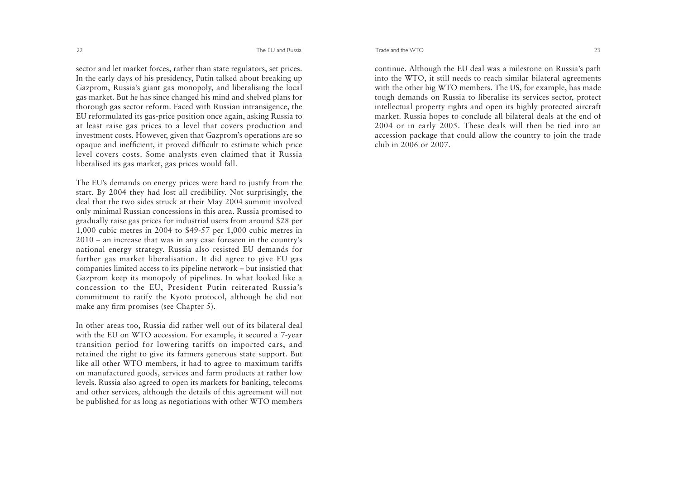sector and let market forces, rather than state regulators, set prices. In the early days of his presidency, Putin talked about breaking up Gazprom, Russia's giant gas monopoly, and liberalising the local gas market. But he has since changed his mind and shelved plans for thorough gas sector reform. Faced with Russian intransigence, the EU reformulated its gas-price position once again, asking Russia to at least raise gas prices to a level that covers production and investment costs. However, given that Gazprom's operations are so opaque and inefficient, it proved difficult to estimate which price level covers costs. Some analysts even claimed that if Russia liberalised its gas market, gas prices would fall.

The EU's demands on energy prices were hard to justify from the start. By 2004 they had lost all credibility. Not surprisingly, the deal that the two sides struck at their May 2004 summit involved only minimal Russian concessions in this area. Russia promised to gradually raise gas prices for industrial users from around \$28 per 1,000 cubic metres in 2004 to \$49-57 per 1,000 cubic metres in 2010 – an increase that was in any case foreseen in the country's national energy strategy. Russia also resisted EU demands for further gas market liberalisation. It did agree to give EU gas companies limited access to its pipeline network – but insistied that Gazprom keep its monopoly of pipelines. In what looked like a concession to the EU, President Putin reiterated Russia's commitment to ratify the Kyoto protocol, although he did not make any firm promises (see Chapter 5).

In other areas too, Russia did rather well out of its bilateral deal with the EU on WTO accession. For example, it secured a 7-year transition period for lowering tariffs on imported cars, and retained the right to give its farmers generous state support. But like all other WTO members, it had to agree to maximum tariffs on manufactured goods, services and farm products at rather low levels. Russia also agreed to open its markets for banking, telecoms and other services, although the details of this agreement will not be published for as long as negotiations with other WTO members

Trade and the WTO $\circ$  23

continue. Although the EU deal was a milestone on Russia's path into the WTO, it still needs to reach similar bilateral agreements with the other big WTO members. The US, for example, has made tough demands on Russia to liberalise its services sector, protect intellectual property rights and open its highly protected aircraft market. Russia hopes to conclude all bilateral deals at the end of 2004 or in early 2005. These deals will then be tied into an accession package that could allow the country to join the trade club in 2006 or 2007.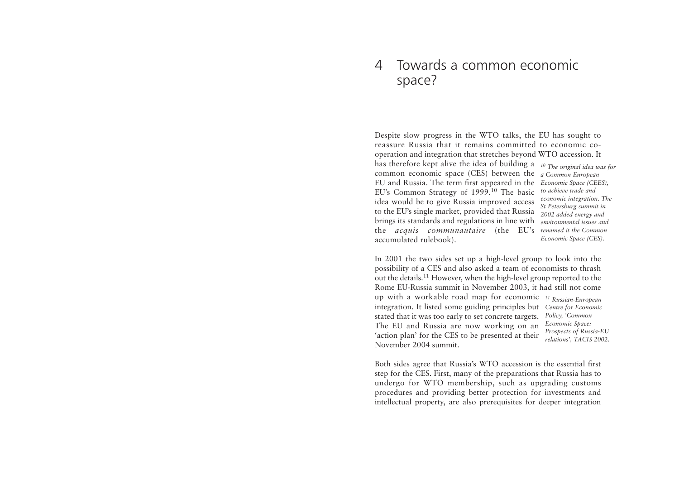# 4 Towards a common economicspace?

Despite slow progress in the WTO talks, the EU has sought to reassure Russia that it remains committed to economic cooperation and integration that stretches beyond WTO accession. It has therefore kept alive the idea of building a *10 The original idea was for* common economic space (CES) between the *a Common European* EU and Russia. The term first appeared in the *Economic Space (CEES),*  EU's Common Strategy of 1999.10 The basic *to achieve trade and*  idea would be to give Russia improved access to the EU's single market, provided that Russia brings its standards and regulations in line with the *acquis communautaire* (the EU's *renamed it the Common* accumulated rulebook).

*economic integration. The St Petersburg summit in 2002 added energy and environmental issues andEconomic Space (CES).*

In 2001 the two sides set up a high-level group to look into the possibility of a CES and also asked a team of economists to thrash out the details.<sup>11</sup> However, when the high-level group reported to the Rome EU-Russia summit in November 2003, it had still not come up with a workable road map for economic *11 Russian-European* integration. It listed some guiding principles but *Centre for Economic* stated that it was too early to set concrete targets. *Policy, 'Common* The EU and Russia are now working on an *Economic Space:* 'action plan' for the CES to be presented at their November 2004 summit. *Prospects of Russia-EU relations', TACIS 2002.* 

Both sides agree that Russia's WTO accession is the essential first step for the CES. First, many of the preparations that Russia has to undergo for WTO membership, such as upgrading customs procedures and providing better protection for investments and intellectual property, are also prerequisites for deeper integration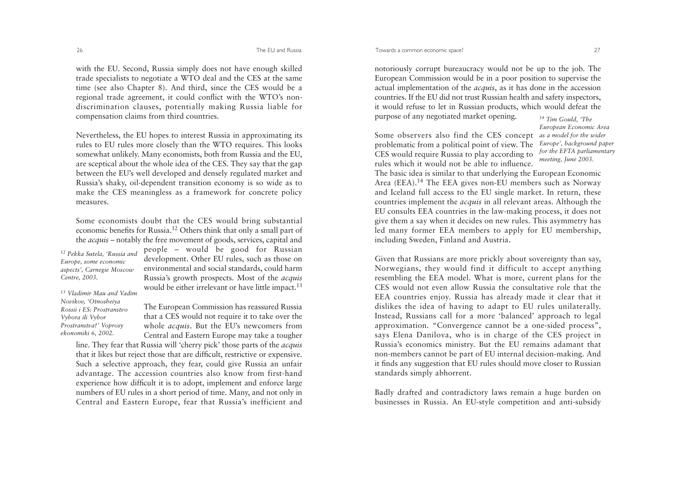with the EU. Second, Russia simply does not have enough skilled trade specialists to negotiate a WTO deal and the CES at the same time (see also Chapter 8). And third, since the CES would be a regional trade agreement, it could conflict with the WTO's nondiscrimination clauses, potentially making Russia liable for compensation claims from third countries.

Nevertheless, the EU hopes to interest Russia in approximating its rules to EU rules more closely than the WTO requires. This looks somewhat unlikely. Many economists, both from Russia and the EU, are sceptical about the whole idea of the CES. They say that the gap between the EU's well developed and densely regulated market and Russia's shaky, oil-dependent transition economy is so wide as to make the CES meaningless as a framework for concrete policy measures.

Some economists doubt that the CES would bring substantial economic benefits for Russia.12 Others think that only a small part of the *acquis* – notably the free movement of goods, services, capital and

*12 Pekka Sutela, 'Russia and Europe, some economic aspects', Carnegie Moscow Centre, 2003.* 

people – would be good for Russian development. Other EU rules, such as those on environmental and social standards, could harm Russia's growth prospects. Most of the *acquis* would be either irrelevant or have little impact.<sup>13</sup>

*13 Vladimir Mau and VadimNovikov, 'Otnosheiya Rossii i ES: ProstranstvoVybora ili Vybor Prostranstva?' Voprosy ekonomiki 6, 2002.*

The European Commission has reassured Russia that a CES would not require it to take over the whole *acquis*. But the EU's newcomers from Central and Eastern Europe may take a tougher

line. They fear that Russia will 'cherry pick' those parts of the *acquis* that it likes but reject those that are difficult, restrictive or expensive. Such a selective approach, they fear, could give Russia an unfair advantage. The accession countries also know from first-hand experience how difficult it is to adopt, implement and enforce large numbers of EU rules in a short period of time. Many, and not only in Central and Eastern Europe, fear that Russia's inefficient and

notoriously corrupt bureaucracy would not be up to the job. The European Commission would be in a poor position to supervise the actual implementation of the *acquis*, as it has done in the accession countries. If the EU did not trust Russian health and safety inspectors, it would refuse to let in Russian products, which would defeat the purpose of any negotiated market opening. *14 Tim Gould, 'The*

Some observers also find the CES concept *as a model for the wider* problematic from a political point of view. The CES would require Russia to play according to *European Economic Area Europe', background paper for the EFTA parliamentary*

*meeting, June 2003.* 

rules which it would not be able to influence.The basic idea is similar to that underlying the European Economic Area (EEA).<sup>14</sup> The EEA gives non-EU members such as Norway and Iceland full access to the EU single market. In return, these countries implement the *acquis* in all relevant areas. Although the EU consults EEA countries in the law-making process, it does not <sup>g</sup>ive them a say when it decides on new rules. This asymmetry has led many former EEA members to apply for EU membership, including Sweden, Finland and Austria.

Given that Russians are more prickly about sovereignty than say, Norwegians, they would find it difficult to accept anything resembling the EEA model. What is more, current plans for the CES would not even allow Russia the consultative role that the EEA countries enjoy. Russia has already made it clear that it dislikes the idea of having to adapt to EU rules unilaterally. Instead, Russians call for a more 'balanced' approach to legal approximation. "Convergence cannot be a one-sided process", says Elena Danilova, who is in charge of the CES project in Russia's economics ministry. But the EU remains adamant that non-members cannot be part of EU internal decision-making. And it finds any suggestion that EU rules should move closer to Russian standards simply abhorrent.

Badly drafted and contradictory laws remain a huge burden on businesses in Russia. An EU-style competition and anti-subsidy

26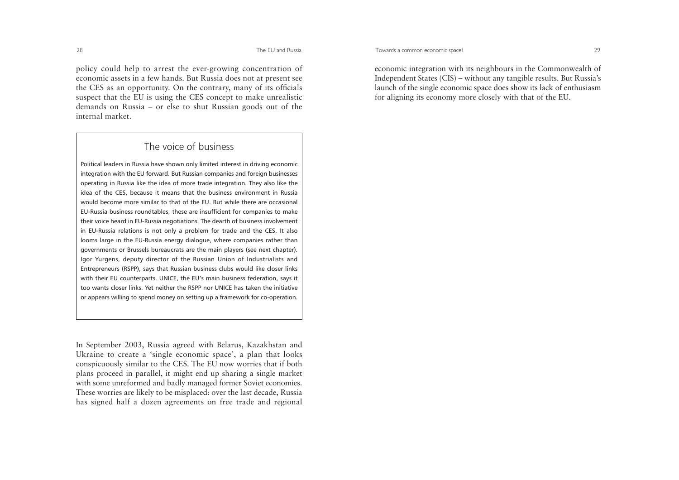The EU and Russia

policy could help to arrest the ever-growing concentration of economic assets in a few hands. But Russia does not at present see the CES as an opportunity. On the contrary, many of its officials suspect that the EU is using the CES concept to make unrealistic demands on Russia – or else to shut Russian goods out of the internal market.

# The voice of business

Political leaders in Russia have shown only limited interest in driving economic integration with the EU forward. But Russian companies and foreign businesses operating in Russia like the idea of more trade integration. They also like the idea of the CES, because it means that the business environment in Russia would become more similar to that of the EU. But while there are occasional EU-Russia business roundtables, these are insufficient for companies to make their voice heard in EU-Russia negotiations. The dearth of business involvement in EU-Russia relations is not only a problem for trade and the CES. It also looms large in the EU-Russia energy dialogue, where companies rather than governments or Brussels bureaucrats are the main players (see next chapter). Igor Yurgens, deputy director of the Russian Union of Industrialists and Entrepreneurs (RSPP), says that Russian business clubs would like closer links with their EU counterparts. UNICE, the EU's main business federation, says it too wants closer links. Yet neither the RSPP nor UNICE has taken the initiative or appears willing to spend money on setting up a framework for co-operation.

In September 2003, Russia agreed with Belarus, Kazakhstan and Ukraine to create a 'single economic space', a plan that looks conspicuously similar to the CES. The EU now worries that if both <sup>p</sup>lans proceed in parallel, it might end up sharing a single market with some unreformed and badly managed former Soviet economies. These worries are likely to be misplaced: over the last decade, Russia has signed half a dozen agreements on free trade and regional

economic integration with its neighbours in the Commonwealth of Independent States (CIS) – without any tangible results. But Russia's launch of the single economic space does show its lack of enthusiasm for aligning its economy more closely with that of the EU.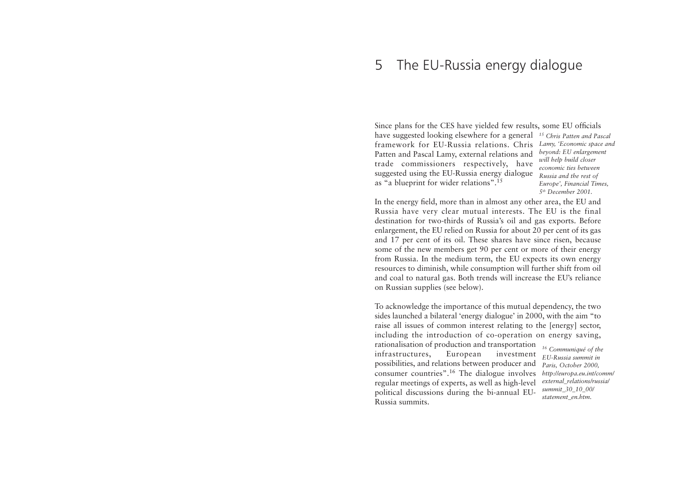#### 5The EU-Russia energy dialogue

Since plans for the CES have yielded few results, some EU officials have suggested looking elsewhere for a general *15 Chris Patten and Pascal*framework for EU-Russia relations. Chris*Lamy, 'Economic space and* Patten and Pascal Lamy, external relations and trade commissioners respectively, have suggested using the EU-Russia energy dialogue *Russia and the rest of* as "a blueprint for wider relations".15

*beyond: EU enlargement will help build closer economic ties betweenEurope', Financial Times, 5th December 2001.* 

In the energy field, more than in almost any other area, the EU and Russia have very clear mutual interests. The EU is the final destination for two-thirds of Russia's oil and gas exports. Before enlargement, the EU relied on Russia for about 20 per cent of its gas and 17 per cent of its oil. These shares have since risen, because some of the new members get 90 per cent or more of their energy from Russia. In the medium term, the EU expects its own energy resources to diminish, while consumption will further shift from oil and coal to natural gas. Both trends will increase the EU's reliance on Russian supplies (see below).

To acknowledge the importance of this mutual dependency, the two sides launched a bilateral 'energy dialogue' in 2000, with the aim "to raise all issues of common interest relating to the [energy] sector, including the introduction of co-operation on energy saving, rationalisation of production and transportation

infrastructures, European investment possibilities, and relations between producer and consumer countries".<sup>16</sup> The dialogue involves regular meetings of experts, as well as high-level political discussions during the bi-annual EU-Russia summits.

*16 Communiqué of the EU-Russia summit in Paris, October 2000, http://europa.eu.int/comm/ external\_relations/russia/ summit\_30\_10\_00/ statement\_en.htm.*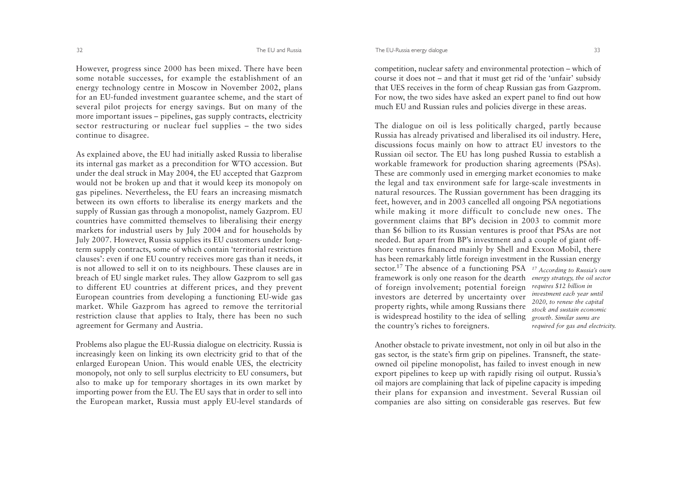However, progress since 2000 has been mixed. There have been some notable successes, for example the establishment of an energy technology centre in Moscow in November 2002, plans for an EU-funded investment guarantee scheme, and the start of several pilot projects for energy savings. But on many of the more important issues – pipelines, gas supply contracts, electricity sector restructuring or nuclear fuel supplies – the two sides continue to disagree.

As explained above, the EU had initially asked Russia to liberalise its internal gas market as a precondition for WTO accession. But under the deal struck in May 2004, the EU accepted that Gazprom would not be broken up and that it would keep its monopoly on gas pipelines. Nevertheless, the EU fears an increasing mismatch between its own efforts to liberalise its energy markets and the supply of Russian gas through a monopolist, namely Gazprom. EU countries have committed themselves to liberalising their energy markets for industrial users by July 2004 and for households by July 2007. However, Russia supplies its EU customers under longterm supply contracts, some of which contain 'territorial restriction clauses': even if one EU country receives more gas than it needs, it is not allowed to sell it on to its neighbours. These clauses are in breach of EU single market rules. They allow Gazprom to sell gas to different EU countries at different prices, and they prevent European countries from developing a functioning EU-wide gas market. While Gazprom has agreed to remove the territorial restriction clause that applies to Italy, there has been no such agreement for Germany and Austria.

Problems also plague the EU-Russia dialogue on electricity. Russia is increasingly keen on linking its own electricity grid to that of the enlarged European Union. This would enable UES, the electricity monopoly, not only to sell surplus electricity to EU consumers, but also to make up for temporary shortages in its own market by importing power from the EU. The EU says that in order to sell into the European market, Russia must apply EU-level standards of The EU-Russia energy dialogue 33

competition, nuclear safety and environmental protection – which of course it does not – and that it must get rid of the 'unfair' subsidy that UES receives in the form of cheap Russian gas from Gazprom. For now, the two sides have asked an expert panel to find out how much EU and Russian rules and policies diverge in these areas.

The dialogue on oil is less politically charged, partly because Russia has already privatised and liberalised its oil industry. Here, discussions focus mainly on how to attract EU investors to the Russian oil sector. The EU has long pushed Russia to establish a workable framework for production sharing agreements (PSAs). These are commonly used in emerging market economies to make the legal and tax environment safe for large-scale investments in natural resources. The Russian government has been dragging its feet, however, and in 2003 cancelled all ongoing PSA negotiations while making it more difficult to conclude new ones. The government claims that BP's decision in 2003 to commit more than \$6 billion to its Russian ventures is proof that PSAs are not needed. But apart from BP's investment and a couple of giant offshore ventures financed mainly by Shell and Exxon Mobil, there has been remarkably little foreign investment in the Russian energy sector.17 The absence of a functioning PSA *17 According to Russia's own* framework is only one reason for the dearth *energy strategy, the oil sector* of foreign involvement; potential foreign *requires \$12 billion in*  investors are deterred by uncertainty over property rights, while among Russians there is widespread hostility to the idea of selling the country's riches to foreigners. *investment each year until 2020, to renew the capital stock and sustain economicgrowth. Similar sums are required for gas and electricity.* 

Another obstacle to private investment, not only in oil but also in the gas sector, is the state's firm grip on pipelines. Transneft, the stateowned oil pipeline monopolist, has failed to invest enough in new export pipelines to keep up with rapidly rising oil output. Russia's oil majors are complaining that lack of pipeline capacity is impeding their plans for expansion and investment. Several Russian oil companies are also sitting on considerable gas reserves. But few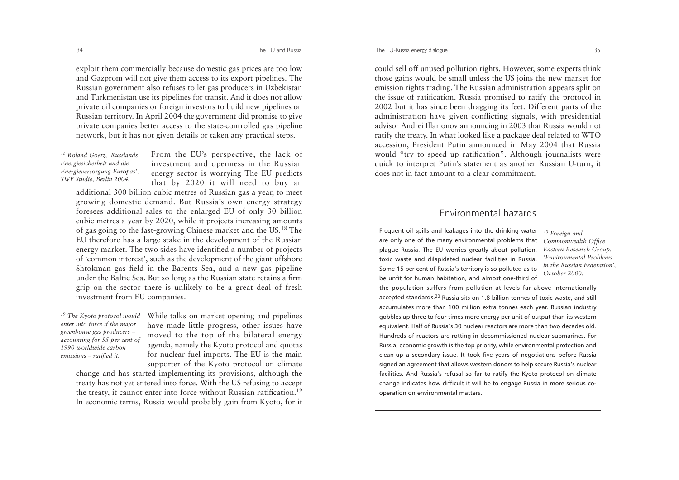#### The EU-Russia energy dialogue 35

exploit them commercially because domestic gas prices are too low and Gazprom will not give them access to its export pipelines. The Russian government also refuses to let gas producers in Uzbekistan and Turkmenistan use its pipelines for transit. And it does not allow private oil companies or foreign investors to build new pipelines on Russian territory. In April 2004 the government did promise to give private companies better access to the state-controlled gas pipeline network, but it has not given details or taken any practical steps.

*18 Roland Goetz, 'Russlands Energiesicherheit und die Energieversorgung Europas', SWP Studie, Berlin 2004.* 

From the EU's perspective, the lack of investment and openness in the Russian energy sector is worrying The EU predicts that by 2020 it will need to buy an

additional 300 billion cubic metres of Russian gas a year, to meet growing domestic demand. But Russia's own energy strategy foresees additional sales to the enlarged EU of only 30 billion cubic metres a year by 2020, while it projects increasing amounts of gas going to the fast-growing Chinese market and the US.18 The EU therefore has a large stake in the development of the Russian energy market. The two sides have identified a number of projects of 'common interest', such as the development of the giant offshore Shtokman gas field in the Barents Sea, and a new gas pipeline under the Baltic Sea. But so long as the Russian state retains a firm grip on the sector there is unlikely to be a great deal of fresh investment from EU companies.

*enter into force if the major greenhouse gas producers – accounting for 55 per cent of 1990 worldwide carbon emissions – ratified it.*

<sup>19</sup> The Kyoto protocol would While talks on market opening and pipelines have made little progress, other issues have moved to the top of the bilateral energy agenda, namely the Kyoto protocol and quotas for nuclear fuel imports. The EU is the main supporter of the Kyoto protocol on climate

change and has started implementing its provisions, although the treaty has not yet entered into force. With the US refusing to accept the treaty, it cannot enter into force without Russian ratification.19 In economic terms, Russia would probably gain from Kyoto, for it

could sell off unused pollution rights. However, some experts think those gains would be small unless the US joins the new market for emission rights trading. The Russian administration appears split on the issue of ratification. Russia promised to ratify the protocol in 2002 but it has since been dragging its feet. Different parts of the administration have given conflicting signals, with presidential advisor Andrei Illarionov announcing in 2003 that Russia would not ratify the treaty. In what looked like a package deal related to WTO accession, President Putin announced in May 2004 that Russia would "try to speed up ratification". Although journalists were quick to interpret Putin's statement as another Russian U-turn, it does not in fact amount to a clear commitment.

# Environmental hazards

Frequent oil spills and leakages into the drinking water are only one of the many environmental problems that plague Russia. The EU worries greatly about pollution, toxic waste and dilapidated nuclear facilities in Russia. Some 15 per cent of Russia's territory is so polluted as to be unfit for human habitation, and almost one-third of

*20 Foreign and Commonwealth Office Eastern Research Group, 'Environmental Problems in the Russian Federation', October 2000.*

the population suffers from pollution at levels far above internationally accepted standards.20 Russia sits on 1.8 billion tonnes of toxic waste, and still accumulates more than 100 million extra tonnes each year. Russian industry gobbles up three to four times more energy per unit of output than its western equivalent. Half of Russia's 30 nuclear reactors are more than two decades old. Hundreds of reactors are rotting in decommissioned nuclear submarines. For Russia, economic growth is the top priority, while environmental protection and clean-up a secondary issue. It took five years of negotiations before Russia signed an agreement that allows western donors to help secure Russia's nuclear facilities. And Russia's refusal so far to ratify the Kyoto protocol on climate change indicates how difficult it will be to engage Russia in more serious cooperation on environmental matters.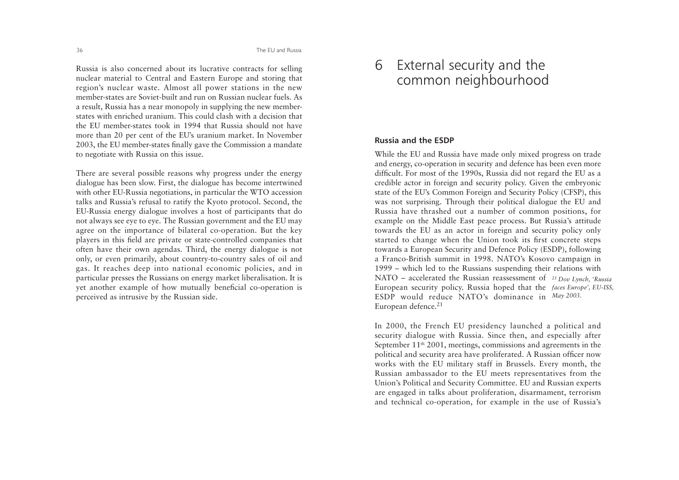Russia is also concerned about its lucrative contracts for selling nuclear material to Central and Eastern Europe and storing that region's nuclear waste. Almost all power stations in the new member-states are Soviet-built and run on Russian nuclear fuels. Asa result, Russia has a near monopoly in supplying the new memberstates with enriched uranium. This could clash with a decision thatthe EU member-states took in 1994 that Russia should not havemore than 20 per cent of the EU's uranium market. In November 2003, the EU member-states finally gave the Commission a mandate to negotiate with Russia on this issue.

There are several possible reasons why progress under the energy dialogue has been slow. First, the dialogue has become intertwined with other EU-Russia negotiations, in particular the WTO accession talks and Russia's refusal to ratify the Kyoto protocol. Second, the EU-Russia energy dialogue involves a host of participants that do not always see eye to eye. The Russian government and the EU may agree on the importance of bilateral co-operation. But the key <sup>p</sup>layers in this field are private or state-controlled companies that often have their own agendas. Third, the energy dialogue is not only, or even primarily, about country-to-country sales of oil and gas. It reaches deep into national economic policies, and in particular presses the Russians on energy market liberalisation. It is yet another example of how mutually beneficial co-operation is perceived as intrusive by the Russian side.

# 6 External security and the common neighbourhood

# **Russia and the ESDP**

While the EU and Russia have made only mixed progress on trade and energy, co-operation in security and defence has been even more difficult. For most of the 1990s, Russia did not regard the EU as a credible actor in foreign and security policy. Given the embryonic state of the EU's Common Foreign and Security Policy (CFSP), this was not surprising. Through their political dialogue the EU and Russia have thrashed out a number of common positions, for example on the Middle East peace process. But Russia's attitude towards the EU as an actor in foreign and security policy only started to change when the Union took its first concrete steps towards a European Security and Defence Policy (ESDP), following a Franco-British summit in 1998. NATO's Kosovo campaign in 1999 – which led to the Russians suspending their relations with NATO – accelerated the Russian reassessment of *21 Dov Lynch, 'Russia* European security policy. Russia hoped that the *faces Europe', EU-ISS,* ESDP would reduce NATO's dominance in *May 2003.* European defence.<sup>21</sup>

In 2000, the French EU presidency launched a political and security dialogue with Russia. Since then, and especially after September 11th 2001, meetings, commissions and agreements in the political and security area have proliferated. A Russian officer now works with the EU military staff in Brussels. Every month, the Russian ambassador to the EU meets representatives from the Union's Political and Security Committee. EU and Russian experts are engaged in talks about proliferation, disarmament, terrorism and technical co-operation, for example in the use of Russia's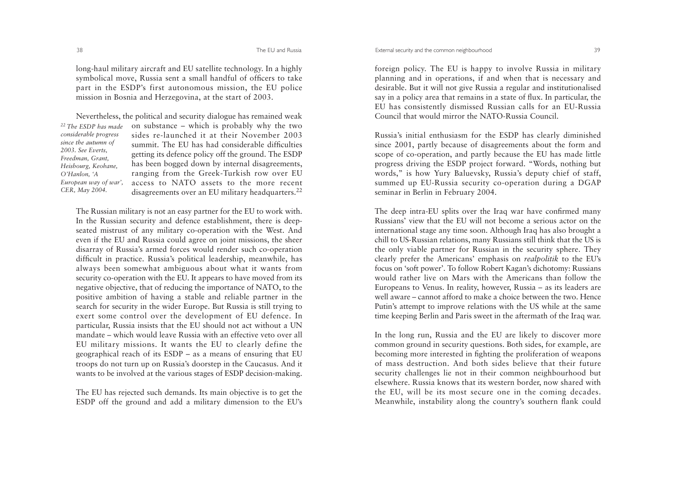long-haul military aircraft and EU satellite technology. In a highly symbolical move, Russia sent a small handful of officers to take part in the ESDP's first autonomous mission, the EU police mission in Bosnia and Herzegovina, at the start of 2003.

*22 The ESDP has madeconsiderable progress since the autumn of 2003. See Everts, Freedman, Grant, Heisbourg, Keohane, O'Hanlon, 'A European way of war', CER, May 2004.*

Nevertheless, the political and security dialogue has remained weak on substance – which is probably why the two sides re-launched it at their November 2003summit. The EU has had considerable difficultiesgetting its defence policy off the ground. The ESDP has been bogged down by internal disagreements, ranging from the Greek-Turkish row over EU access to NATO assets to the more recentdisagreements over an EU military headquarters.<sup>22</sup>

The Russian military is not an easy partner for the EU to work with. In the Russian security and defence establishment, there is deepseated mistrust of any military co-operation with the West. And even if the EU and Russia could agree on joint missions, the sheer disarray of Russia's armed forces would render such co-operation difficult in practice. Russia's political leadership, meanwhile, has always been somewhat ambiguous about what it wants from security co-operation with the EU. It appears to have moved from its negative objective, that of reducing the importance of NATO, to the positive ambition of having a stable and reliable partner in the search for security in the wider Europe. But Russia is still trying to exert some control over the development of EU defence. In particular, Russia insists that the EU should not act without a UN mandate – which would leave Russia with an effective veto over allEU military missions. It wants the EU to clearly define the geographical reach of its ESDP – as a means of ensuring that EU troops do not turn up on Russia's doorstep in the Caucasus. And it wants to be involved at the various stages of ESDP decision-making.

The EU has rejected such demands. Its main objective is to get the ESDP off the ground and add a military dimension to the EU's foreign policy. The EU is happy to involve Russia in military <sup>p</sup>lanning and in operations, if and when that is necessary and desirable. But it will not give Russia a regular and institutionalised say in a policy area that remains in a state of flux. In particular, the EU has consistently dismissed Russian calls for an EU-Russia Council that would mirror the NATO-Russia Council.

Russia's initial enthusiasm for the ESDP has clearly diminished since 2001, partly because of disagreements about the form and scope of co-operation, and partly because the EU has made little progress driving the ESDP project forward. "Words, nothing but words," is how Yury Baluevsky, Russia's deputy chief of staff, summed up EU-Russia security co-operation during a DGAP seminar in Berlin in February 2004.

The deep intra-EU splits over the Iraq war have confirmed many Russians' view that the EU will not become a serious actor on theinternational stage any time soon. Although Iraq has also brought a chill to US-Russian relations, many Russians still think that the US is the only viable partner for Russian in the security sphere. They clearly prefer the Americans' emphasis on *realpolitik* to the EU's focus on 'soft power'. To follow Robert Kagan's dichotomy: Russians would rather live on Mars with the Americans than follow theEuropeans to Venus. In reality, however, Russia – as its leaders are well aware – cannot afford to make a choice between the two. HencePutin's attempt to improve relations with the US while at the same time keeping Berlin and Paris sweet in the aftermath of the Iraq war.

In the long run, Russia and the EU are likely to discover more common ground in security questions. Both sides, for example, are becoming more interested in fighting the proliferation of weapons of mass destruction. And both sides believe that their future security challenges lie not in their common neighbourhood but elsewhere. Russia knows that its western border, now shared with the EU, will be its most secure one in the coming decades. Meanwhile, instability along the country's southern flank could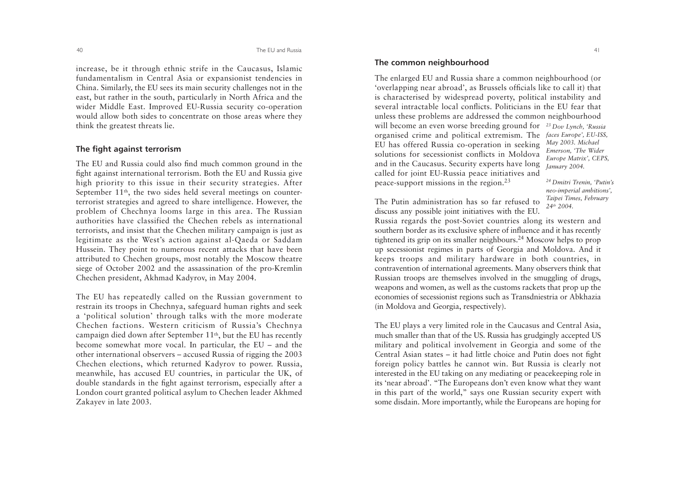increase, be it through ethnic strife in the Caucasus, Islamic fundamentalism in Central Asia or expansionist tendencies in China. Similarly, the EU sees its main security challenges not in the east, but rather in the south, particularly in North Africa and the wider Middle East. Improved EU-Russia security co-operation would allow both sides to concentrate on those areas where they think the greatest threats lie.

#### **The fight against terrorism**

The EU and Russia could also find much common ground in the fight against international terrorism. Both the EU and Russia give high priority to this issue in their security strategies. After September 11<sup>th</sup>, the two sides held several meetings on counterterrorist strategies and agreed to share intelligence. However, the problem of Chechnya looms large in this area. The Russian authorities have classified the Chechen rebels as international terrorists, and insist that the Chechen military campaign is just as legitimate as the West's action against al-Qaeda or Saddam Hussein. They point to numerous recent attacks that have been attributed to Chechen groups, most notably the Moscow theatre siege of October 2002 and the assassination of the pro-Kremlin Chechen president, Akhmad Kadyrov, in May 2004.

The EU has repeatedly called on the Russian government to restrain its troops in Chechnya, safeguard human rights and seek <sup>a</sup>'political solution' through talks with the more moderate Chechen factions. Western criticism of Russia's Chechnya campaign died down after September 11th, but the EU has recently become somewhat more vocal. In particular, the EU – and the other international observers – accused Russia of rigging the 2003 Chechen elections, which returned Kadyrov to power. Russia, meanwhile, has accused EU countries, in particular the UK, of double standards in the fight against terrorism, especially after a London court granted political asylum to Chechen leader Akhmed Zakayev in late 2003.

# **The common neighbourhood**

The enlarged EU and Russia share a common neighbourhood (or 'overlapping near abroad', as Brussels officials like to call it) that is characterised by widespread poverty, political instability and several intractable local conflicts. Politicians in the EU fear thatunless these problems are addressed the common neighbourhood will become an even worse breeding ground for *23 Dov Lynch, 'Russia* organised crime and political extremism. The *faces Europe', EU-ISS,* EU has offered Russia co-operation in seeking solutions for secessionist conflicts in Moldova and in the Caucasus. Security experts have long called for joint EU-Russia peace initiatives and peace-support missions in the region.23 *May 2003. Michael Emerson, 'The Wider Europe Matrix', CEPS, January 2004.* 

*24 Dmitri Trenin, 'Putin's neo-imperial ambitions', Taipei Times, February 24th 2004.* 

The Putin administration has so far refused to discuss any possible joint initiatives with the EU.

Russia regards the post-Soviet countries along its western and southern border as its exclusive sphere of influence and it has recently tightened its grip on its smaller neighbours.24 Moscow helps to prop up secessionist regimes in parts of Georgia and Moldova. And it keeps troops and military hardware in both countries, in contravention of international agreements. Many observers think that Russian troops are themselves involved in the smuggling of drugs, weapons and women, as well as the customs rackets that prop up the economies of secessionist regions such as Transdniestria or Abkhazia (in Moldova and Georgia, respectively).

The EU plays a very limited role in the Caucasus and Central Asia, much smaller than that of the US. Russia has grudgingly accepted US military and political involvement in Georgia and some of the Central Asian states – it had little choice and Putin does not fight foreign policy battles he cannot win. But Russia is clearly not interested in the EU taking on any mediating or peacekeeping role in its 'near abroad'. "The Europeans don't even know what they want in this part of the world," says one Russian security expert with some disdain. More importantly, while the Europeans are hoping for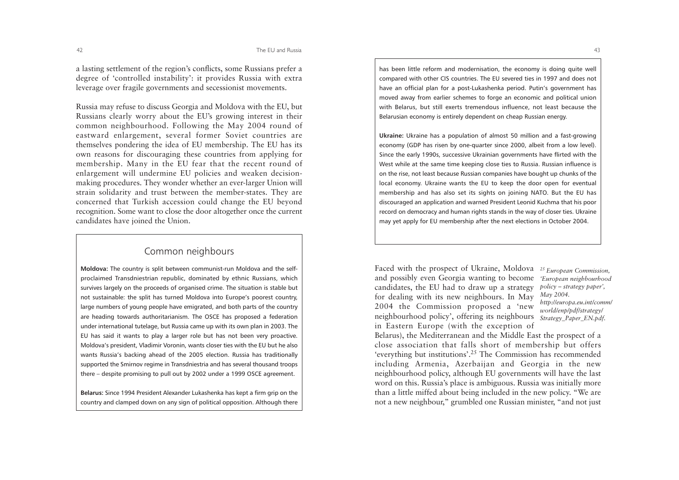a lasting settlement of the region's conflicts, some Russians prefer a degree of 'controlled instability': it provides Russia with extra leverage over fragile governments and secessionist movements.

Russia may refuse to discuss Georgia and Moldova with the EU, but Russians clearly worry about the EU's growing interest in their common neighbourhood. Following the May 2004 round of eastward enlargement, several former Soviet countries are themselves pondering the idea of EU membership. The EU has its own reasons for discouraging these countries from applying for membership. Many in the EU fear that the recent round of enlargement will undermine EU policies and weaken decisionmaking procedures. They wonder whether an ever-larger Union will strain solidarity and trust between the member-states. They are concerned that Turkish accession could change the EU beyond recognition. Some want to close the door altogether once the current candidates have joined the Union.

# Common neighbours

**Moldova:** The country is split between communist-run Moldova and the selfproclaimed Transdniestrian republic, dominated by ethnic Russians, which survives largely on the proceeds of organised crime. The situation is stable but not sustainable: the split has turned Moldova into Europe's poorest country, large numbers of young people have emigrated, and both parts of the country are heading towards authoritarianism. The OSCE has proposed a federation under international tutelage, but Russia came up with its own plan in 2003. The EU has said it wants to play a larger role but has not been very proactive. Moldova's president, Vladimir Voronin, wants closer ties with the EU but he also wants Russia's backing ahead of the 2005 election. Russia has traditionally supported the Smirnov regime in Transdniestria and has several thousand troops there – despite promising to pull out by 2002 under a 1999 OSCE agreement.

**Belarus:** Since 1994 President Alexander Lukashenka has kept a firm grip on the country and clamped down on any sign of political opposition. Although there has been little reform and modernisation, the economy is doing quite well compared with other CIS countries. The EU severed ties in 1997 and does not have an official plan for a post-Lukashenka period. Putin's government has moved away from earlier schemes to forge an economic and political union with Belarus, but still exerts tremendous influence, not least because the Belarusian economy is entirely dependent on cheap Russian energy.

**Ukraine:** Ukraine has a population of almost 50 million and a fast-growing economy (GDP has risen by one-quarter since 2000, albeit from a low level). Since the early 1990s, successive Ukrainian governments have flirted with the West while at the same time keeping close ties to Russia. Russian influence is on the rise, not least because Russian companies have bought up chunks of the local economy. Ukraine wants the EU to keep the door open for eventual membership and has also set its sights on joining NATO. But the EU has discouraged an application and warned President Leonid Kuchma that his poor record on democracy and human rights stands in the way of closer ties. Ukraine may yet apply for EU membership after the next elections in October 2004.

Faced with the prospect of Ukraine, Moldova *25 European Commission,* and possibly even Georgia wanting to become *'European neighbourhood* candidates, the EU had to draw up a strategy for dealing with its new neighbours. In May 2004 the Commission proposed a 'new neighbourhood policy', offering its neighbours in Eastern Europe (with the exception of

*policy – strategy paper', May 2004. http://europa.eu.int/comm/ world/enp/pdf/strategy/ Strategy\_Paper\_EN.pdf.*

Belarus), the Mediterranean and the Middle East the prospect of a close association that falls short of membership but offers 'everything but institutions'.25 The Commission has recommended including Armenia, Azerbaijan and Georgia in the new neighbourhood policy, although EU governments will have the last word on this. Russia's place is ambiguous. Russia was initially more than a little miffed about being included in the new policy. "We are not a new neighbour," grumbled one Russian minister, "and not just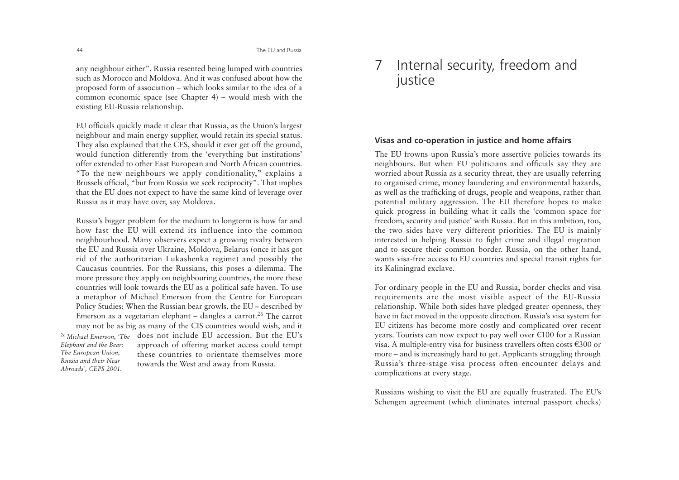any neighbour either". Russia resented being lumped with countries such as Morocco and Moldova. And it was confused about how theproposed form of association – which looks similar to the idea of a common economic space (see Chapter 4) – would mesh with the existing EU-Russia relationship.

EU officials quickly made it clear that Russia, as the Union's largest neighbour and main energy supplier, would retain its special status. They also explained that the CES, should it ever get off the ground, would function differently from the 'everything but institutions' offer extended to other East European and North African countries. "To the new neighbours we apply conditionality," explains a Brussels official, "but from Russia we seek reciprocity". That implies that the EU does not expect to have the same kind of leverage over Russia as it may have over, say Moldova.

Russia's bigger problem for the medium to longterm is how far and how fast the EU will extend its influence into the commonneighbourhood. Many observers expect a growing rivalry between the EU and Russia over Ukraine, Moldova, Belarus (once it has got rid of the authoritarian Lukashenka regime) and possibly the Caucasus countries. For the Russians, this poses a dilemma. The more pressure they apply on neighbouring countries, the more these countries will look towards the EU as a political safe haven. To use a metaphor of Michael Emerson from the Centre for European Policy Studies: When the Russian bear growls, the EU – described by Emerson as a vegetarian elephant – dangles a carrot.<sup>26</sup> The carrot may not be as big as many of the CIS countries would wish, and it does not include EU accession. But the EU's *26 Michael Emerson, 'The*

*Elephant and the Bear: The European Union, Russia and their NearAbroads', CEPS 2001.* 

approach of offering market access could tempt these countries to orientate themselves moretowards the West and away from Russia.

# 7 Internal security, freedom and justice

# **Visas and co-operation in justice and home affairs**

The EU frowns upon Russia's more assertive policies towards its neighbours. But when EU politicians and officials say they are worried about Russia as a security threat, they are usually referring to organised crime, money laundering and environmental hazards, as well as the trafficking of drugs, people and weapons, rather than potential military aggression. The EU therefore hopes to make quick progress in building what it calls the 'common space for freedom, security and justice' with Russia. But in this ambition, too, the two sides have very different priorities. The EU is mainly interested in helping Russia to fight crime and illegal migration and to secure their common border. Russia, on the other hand, wants visa-free access to EU countries and special transit rights for its Kaliningrad exclave.

For ordinary people in the EU and Russia, border checks and visa requirements are the most visible aspect of the EU-Russia relationship. While both sides have pledged greater openness, they have in fact moved in the opposite direction. Russia's visa system for EU citizens has become more costly and complicated over recent years. Tourists can now expect to pay well over  $\epsilon$ 100 for a Russian visa. A multiple-entry visa for business travellers often costs  $\epsilon$ 300 or more – and is increasingly hard to get. Applicants struggling through Russia's three-stage visa process often encounter delays and complications at every stage.

Russians wishing to visit the EU are equally frustrated. The EU's Schengen agreement (which eliminates internal passport checks)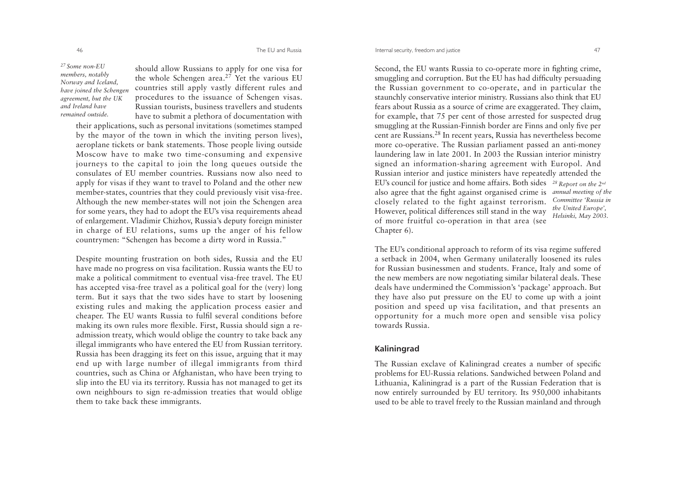The EU and Russia

*27 Some non-EU members, notably Norway and Iceland, have joined the Schengen agreement, but the UK and Ireland haveremained outside.*

should allow Russians to apply for one visa for the whole Schengen area.<sup>27</sup> Yet the various EU countries still apply vastly different rules and procedures to the issuance of Schengen visas. Russian tourists, business travellers and students have to submit a plethora of documentation with

their applications, such as personal invitations (sometimes stamped by the mayor of the town in which the inviting person lives), aeroplane tickets or bank statements. Those people living outside Moscow have to make two time-consuming and expensive journeys to the capital to join the long queues outside the consulates of EU member countries. Russians now also need toapply for visas if they want to travel to Poland and the other new member-states, countries that they could previously visit visa-free. Although the new member-states will not join the Schengen area for some years, they had to adopt the EU's visa requirements ahead of enlargement. Vladimir Chizhov, Russia's deputy foreign minister in charge of EU relations, sums up the anger of his fellow countrymen: "Schengen has become a dirty word in Russia."

Despite mounting frustration on both sides, Russia and the EU have made no progress on visa facilitation. Russia wants the EU to make a political commitment to eventual visa-free travel. The EU has accepted visa-free travel as a political goal for the (very) long term. But it says that the two sides have to start by loosening existing rules and making the application process easier and cheaper. The EU wants Russia to fulfil several conditions before making its own rules more flexible. First, Russia should sign a readmission treaty, which would oblige the country to take back any illegal immigrants who have entered the EU from Russian territory. Russia has been dragging its feet on this issue, arguing that it may end up with large number of illegal immigrants from third countries, such as China or Afghanistan, who have been trying to slip into the EU via its territory. Russia has not managed to get its own neighbours to sign re-admission treaties that would oblige them to take back these immigrants.

Second, the EU wants Russia to co-operate more in fighting crime, smuggling and corruption. But the EU has had difficulty persuading the Russian government to co-operate, and in particular the staunchly conservative interior ministry. Russians also think that EU fears about Russia as a source of crime are exaggerated. They claim, for example, that 75 per cent of those arrested for suspected drug smuggling at the Russian-Finnish border are Finns and only five per cent are Russians.<sup>28</sup> In recent years, Russia has nevertheless become more co-operative. The Russian parliament passed an anti-money laundering law in late 2001. In 2003 the Russian interior ministry signed an information-sharing agreement with Europol. And Russian interior and justice ministers have repeatedly attended the EU's council for justice and home affairs. Both sides *28 Report on the 2nd* also agree that the fight against organised crime is *annual meeting of the* closely related to the fight against terrorism. However, political differences still stand in the way of more fruitful co-operation in that area (see Chapter 6). *Committee 'Russia inthe United Europe', Helsinki, May 2003.* 

The EU's conditional approach to reform of its visa regime suffered a setback in 2004, when Germany unilaterally loosened its rules for Russian businessmen and students. France, Italy and some of the new members are now negotiating similar bilateral deals. These deals have undermined the Commission's 'package' approach. But they have also put pressure on the EU to come up with a joint position and speed up visa facilitation, and that presents an opportunity for a much more open and sensible visa policy towards Russia.

### **Kaliningrad**

The Russian exclave of Kaliningrad creates a number of specific problems for EU-Russia relations. Sandwiched between Poland and Lithuania, Kaliningrad is a part of the Russian Federation that is now entirely surrounded by EU territory. Its 950,000 inhabitants used to be able to travel freely to the Russian mainland and through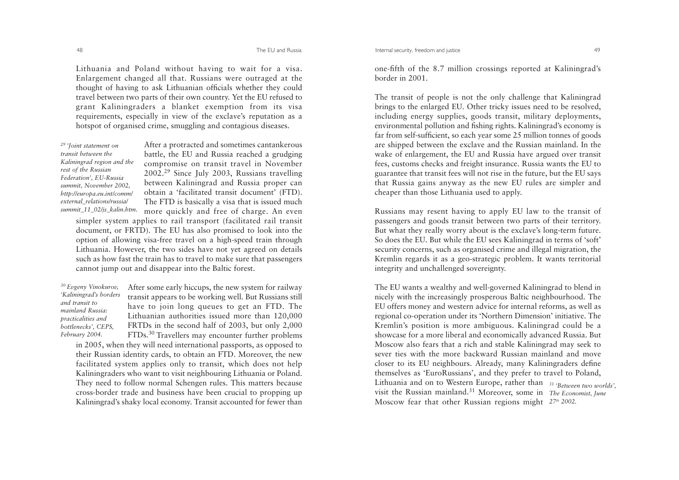Lithuania and Poland without having to wait for a visa. Enlargement changed all that. Russians were outraged at the thought of having to ask Lithuanian officials whether they could travel between two parts of their own country. Yet the EU refused to grant Kaliningraders a blanket exemption from its visa requirements, especially in view of the exclave's reputation as a hotspot of organised crime, smuggling and contagious diseases.

*29 'Joint statement on transit between theKaliningrad region and the rest of the Russian Federation', EU-Russia summit, November 2002, http://europa.eu.int/comm/ external\_relations/russia/ summit\_11\_02/js\_kalin.htm.*

After a protracted and sometimes cantankerous battle, the EU and Russia reached a grudging compromise on transit travel in November 2002.<sup>29</sup> Since July 2003, Russians travelling between Kaliningrad and Russia proper can obtain a 'facilitated transit document' (FTD). The FTD is basically a visa that is issued much more quickly and free of charge. An even simpler system applies to rail transport (facilitated rail transit

document, or FRTD). The EU has also promised to look into the option of allowing visa-free travel on a high-speed train through Lithuania. However, the two sides have not yet agreed on details such as how fast the train has to travel to make sure that passengers cannot jump out and disappear into the Baltic forest.

*30 Evgeny Vinokurov, 'Kaliningrad's borders and transit to mainland Russia:practicalities and bottlenecks', CEPS, February 2004.* 

After some early hiccups, the new system for railway transit appears to be working well. But Russians still have to join long queues to get an FTD. The Lithuanian authorities issued more than 120,000 FRTDs in the second half of 2003, but only 2,000 FTDs.<sup>30</sup> Travellers may encounter further problems

in 2005, when they will need international passports, as opposed to their Russian identity cards, to obtain an FTD. Moreover, the new facilitated system applies only to transit, which does not help Kaliningraders who want to visit neighbouring Lithuania or Poland. They need to follow normal Schengen rules. This matters because cross-border trade and business have been crucial to propping up Kaliningrad's shaky local economy. Transit accounted for fewer than one-fifth of the 8.7 million crossings reported at Kaliningrad's border in 2001.

The transit of people is not the only challenge that Kaliningrad brings to the enlarged EU. Other tricky issues need to be resolved, including energy supplies, goods transit, military deployments, environmental pollution and fishing rights. Kaliningrad's economy is far from self-sufficient, so each year some 25 million tonnes of goods are shipped between the exclave and the Russian mainland. In the wake of enlargement, the EU and Russia have argued over transit fees, customs checks and freight insurance. Russia wants the EU to guarantee that transit fees will not rise in the future, but the EU says that Russia gains anyway as the new EU rules are simpler and cheaper than those Lithuania used to apply.

Russians may resent having to apply EU law to the transit of passengers and goods transit between two parts of their territory. But what they really worry about is the exclave's long-term future. So does the EU. But while the EU sees Kaliningrad in terms of 'soft' security concerns, such as organised crime and illegal migration, the Kremlin regards it as a geo-strategic problem. It wants territorial integrity and unchallenged sovereignty.

The EU wants a wealthy and well-governed Kaliningrad to blend in nicely with the increasingly prosperous Baltic neighbourhood. The EU offers money and western advice for internal reforms, as well as regional co-operation under its 'Northern Dimension' initiative. The Kremlin's position is more ambiguous. Kaliningrad could be a showcase for a more liberal and economically advanced Russia. But Moscow also fears that a rich and stable Kaliningrad may seek to sever ties with the more backward Russian mainland and move closer to its EU neighbours. Already, many Kaliningraders define themselves as 'EuroRussians', and they prefer to travel to Poland, Lithuania and on to Western Europe, rather than *31 'Between two worlds',* visit the Russian mainland.31 Moreover, some in *The Economist, June* Moscow fear that other Russian regions might  $27<sup>th</sup> 2002$ .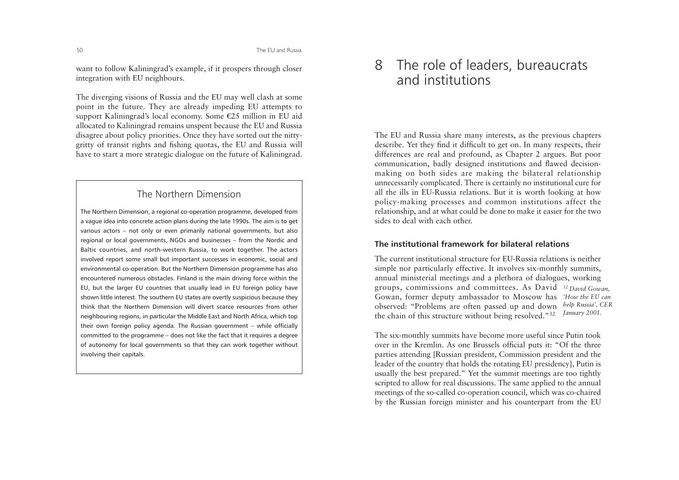want to follow Kaliningrad's example, if it prospers through closer integration with EU neighbours.

The diverging visions of Russia and the EU may well clash at some point in the future. They are already impeding EU attempts to support Kaliningrad's local economy. Some  $E25$  million in EU aid allocated to Kaliningrad remains unspent because the EU and Russia disagree about policy priorities. Once they have sorted out the nittygritty of transit rights and fishing quotas, the EU and Russia will have to start a more strategic dialogue on the future of Kaliningrad.

# The Northern Dimension

The Northern Dimension, a regional co-operation programme, developed from a vague idea into concrete action plans during the late 1990s. The aim is to get various actors – not only or even primarily national governments, but also regional or local governments, NGOs and businesses – from the Nordic and Baltic countries, and north-western Russia, to work together. The actors involved report some small but important successes in economic, social and environmental co-operation. But the Northern Dimension programme has also encountered numerous obstacles. Finland is the main driving force within the EU, but the larger EU countries that usually lead in EU foreign policy have shown little interest. The southern EU states are overtly suspicious because they think that the Northern Dimension will divert scarce resources from otherneighbouring regions, in particular the Middle East and North Africa, which top their own foreign policy agenda. The Russian government – while officially committed to the programme – does not like the fact that it requires a degree of autonomy for local governments so that they can work together without involving their capitals.

# 8 The role of leaders, bureaucrats and institutions

The EU and Russia share many interests, as the previous chapters describe. Yet they find it difficult to get on. In many respects, their differences are real and profound, as Chapter 2 argues. But poor communication, badly designed institutions and flawed decisionmaking on both sides are making the bilateral relationship unnecessarily complicated. There is certainly no institutional cure for all the ills in EU-Russia relations. But it is worth looking at how policy-making processes and common institutions affect the relationship, and at what could be done to make it easier for the two sides to deal with each other.

# **The institutional framework for bilateral relations**

The current institutional structure for EU-Russia relations is neithersimple nor particularly effective. It involves six-monthly summits, annual ministerial meetings and a plethora of dialogues, working groups, commissions and committees. As David *32 David Gowan,* Gowan, former deputy ambassador to Moscow has *'How the EU can* observed: "Problems are often passed up and down *help Russia', CER* the chain of this structure without being resolved."32 *January 2001.*

The six-monthly summits have become more useful since Putin took over in the Kremlin. As one Brussels official puts it: "Of the three parties attending [Russian president, Commission president and the leader of the country that holds the rotating EU presidency], Putin is usually the best prepared." Yet the summit meetings are too tightly scripted to allow for real discussions. The same applied to the annual meetings of the so-called co-operation council, which was co-chaired by the Russian foreign minister and his counterpart from the EU

50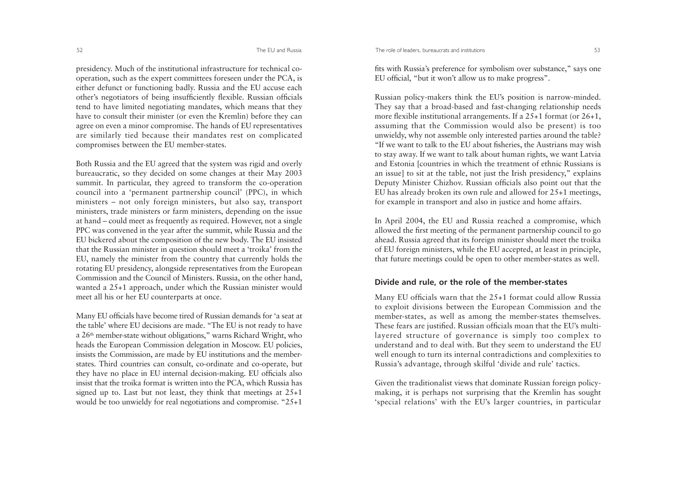The role of leaders, bureaucrats and institutions 53

presidency. Much of the institutional infrastructure for technical cooperation, such as the expert committees foreseen under the PCA, is either defunct or functioning badly. Russia and the EU accuse each other's negotiators of being insufficiently flexible. Russian officials tend to have limited negotiating mandates, which means that they have to consult their minister (or even the Kremlin) before they can agree on even a minor compromise. The hands of EU representatives are similarly tied because their mandates rest on complicated compromises between the EU member-states.

Both Russia and the EU agreed that the system was rigid and overly bureaucratic, so they decided on some changes at their May 2003 summit. In particular, they agreed to transform the co-operation council into a 'permanent partnership council' (PPC), in which ministers – not only foreign ministers, but also say, transport ministers, trade ministers or farm ministers, depending on the issue at hand – could meet as frequently as required. However, not a single PPC was convened in the year after the summit, while Russia and the EU bickered about the composition of the new body. The EU insisted that the Russian minister in question should meet a 'troika' from the EU, namely the minister from the country that currently holds the rotating EU presidency, alongside representatives from the European Commission and the Council of Ministers. Russia, on the other hand, wanted a 25+1 approach, under which the Russian minister would meet all his or her EU counterparts at once.

Many EU officials have become tired of Russian demands for 'a seat at the table' where EU decisions are made. "The EU is not ready to have a 26<sup>th</sup> member-state without obligations," warns Richard Wright, who heads the European Commission delegation in Moscow. EU policies, insists the Commission, are made by EU institutions and the memberstates. Third countries can consult, co-ordinate and co-operate, but they have no place in EU internal decision-making. EU officials also insist that the troika format is written into the PCA, which Russia has signed up to. Last but not least, they think that meetings at 25+1 would be too unwieldy for real negotiations and compromise. "25+1

fits with Russia's preference for symbolism over substance," says one EU official, "but it won't allow us to make progress".

Russian policy-makers think the EU's position is narrow-minded. They say that a broad-based and fast-changing relationship needs more flexible institutional arrangements. If a 25+1 format (or 26+1, assuming that the Commission would also be present) is too unwieldy, why not assemble only interested parties around the table? "If we want to talk to the EU about fisheries, the Austrians may wish to stay away. If we want to talk about human rights, we want Latvia and Estonia [countries in which the treatment of ethnic Russians is an issue] to sit at the table, not just the Irish presidency," explains Deputy Minister Chizhov. Russian officials also point out that the EU has already broken its own rule and allowed for 25+1 meetings, for example in transport and also in justice and home affairs.

In April 2004, the EU and Russia reached a compromise, which allowed the first meeting of the permanent partnership council to go ahead. Russia agreed that its foreign minister should meet the troika of EU foreign ministers, while the EU accepted, at least in principle, that future meetings could be open to other member-states as well.

#### **Divide and rule, or the role of the member-states**

Many EU officials warn that the 25+1 format could allow Russia to exploit divisions between the European Commission and the member-states, as well as among the member-states themselves. These fears are justified. Russian officials moan that the EU's multilayered structure of governance is simply too complex to understand and to deal with. But they seem to understand the EU well enough to turn its internal contradictions and complexities to Russia's advantage, through skilful 'divide and rule' tactics.

Given the traditionalist views that dominate Russian foreign policymaking, it is perhaps not surprising that the Kremlin has sought 'special relations' with the EU's larger countries, in particular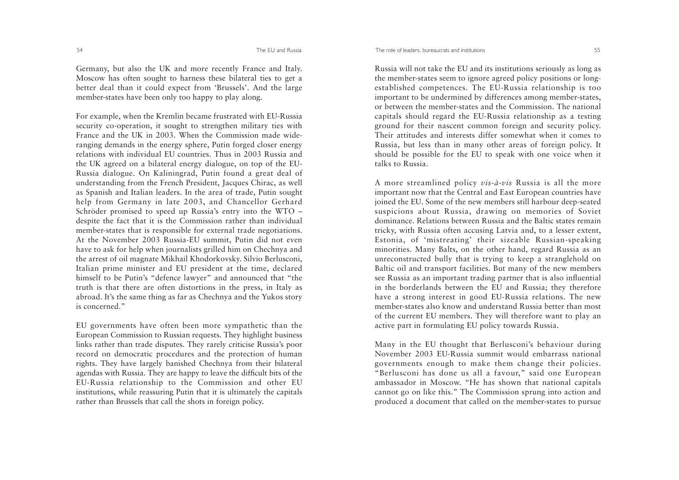Germany, but also the UK and more recently France and Italy. Moscow has often sought to harness these bilateral ties to get a better deal than it could expect from 'Brussels'. And the large member-states have been only too happy to play along.

For example, when the Kremlin became frustrated with EU-Russia security co-operation, it sought to strengthen military ties with France and the UK in 2003. When the Commission made wideranging demands in the energy sphere, Putin forged closer energy relations with individual EU countries. Thus in 2003 Russia andthe UK agreed on a bilateral energy dialogue, on top of the EU-Russia dialogue. On Kaliningrad, Putin found a great deal of understanding from the French President, Jacques Chirac, as well as Spanish and Italian leaders. In the area of trade, Putin sought help from Germany in late 2003, and Chancellor Gerhard Schröder promised to speed up Russia's entry into the WTO – despite the fact that it is the Commission rather than individual member-states that is responsible for external trade negotiations. At the November 2003 Russia-EU summit, Putin did not even have to ask for help when journalists grilled him on Chechnya and the arrest of oil magnate Mikhail Khodorkovsky. Silvio Berlusconi, Italian prime minister and EU president at the time, declared himself to be Putin's "defence lawyer" and announced that "the truth is that there are often distortions in the press, in Italy as abroad. It's the same thing as far as Chechnya and the Yukos story is concerned."

EU governments have often been more sympathetic than the European Commission to Russian requests. They highlight business links rather than trade disputes. They rarely criticise Russia's poor record on democratic procedures and the protection of human rights. They have largely banished Chechnya from their bilateral agendas with Russia. They are happy to leave the difficult bits of the EU-Russia relationship to the Commission and other EU institutions, while reassuring Putin that it is ultimately the capitals rather than Brussels that call the shots in foreign policy.

Russia will not take the EU and its institutions seriously as long as the member-states seem to ignore agreed policy positions or longestablished competences. The EU-Russia relationship is too important to be undermined by differences among member-states, or between the member-states and the Commission. The nationalcapitals should regard the EU-Russia relationship as a testing ground for their nascent common foreign and security policy. Their attitudes and interests differ somewhat when it comes toRussia, but less than in many other areas of foreign policy. It should be possible for the EU to speak with one voice when it talks to Russia.

A more streamlined policy *vis-à-vis* Russia is all the more important now that the Central and East European countries have joined the EU. Some of the new members still harbour deep-seated suspicions about Russia, drawing on memories of Soviet dominance. Relations between Russia and the Baltic states remaintricky, with Russia often accusing Latvia and, to a lesser extent, Estonia, of 'mistreating' their sizeable Russian-speaking minorities. Many Balts, on the other hand, regard Russia as an unreconstructed bully that is trying to keep a stranglehold on Baltic oil and transport facilities. But many of the new members see Russia as an important trading partner that is also influential in the borderlands between the EU and Russia; they therefore have a strong interest in good EU-Russia relations. The new member-states also know and understand Russia better than most of the current EU members. They will therefore want to play an active part in formulating EU policy towards Russia.

Many in the EU thought that Berlusconi's behaviour during November 2003 EU-Russia summit would embarrass national governments enough to make them change their policies. "Berlusconi has done us all a favour," said one European ambassador in Moscow. "He has shown that national capitals cannot go on like this." The Commission sprung into action and produced a document that called on the member-states to pursue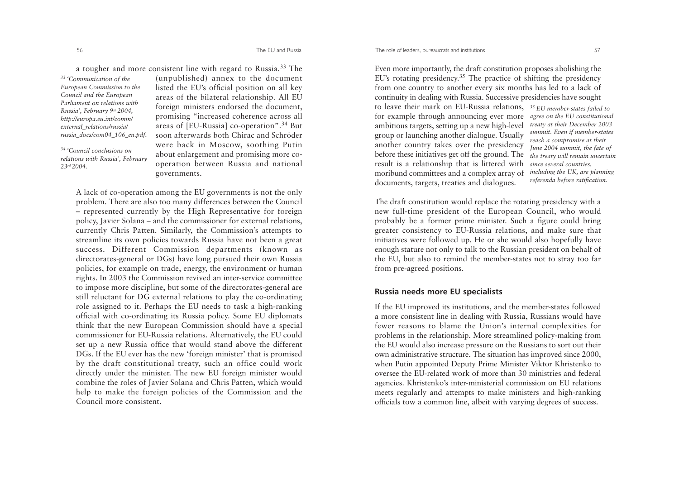a tougher and more consistent line with regard to Russia.33 The *33 'Communication of the European Commission to the Council and the European Parliament on relations withRussia', February 9th 2004, http://europa.eu.int/comm/ external\_relations/russia/ russia\_docs/com04\_106\_en.pdf.*

*34 'Council conclusions on relations with Russia', February 23rd 2004.* 

(unpublished) annex to the document listed the EU's official position on all key areas of the bilateral relationship. All EU foreign ministers endorsed the document, promising "increased coherence across all areas of [EU-Russia] co-operation".34 But soon afterwards both Chirac and Schröderwere back in Moscow, soothing Putin about enlargement and promising more cooperation between Russia and national governments.

A lack of co-operation among the EU governments is not the only problem. There are also too many differences between the Council – represented currently by the High Representative for foreign policy, Javier Solana – and the commissioner for external relations, currently Chris Patten. Similarly, the Commission's attempts to streamline its own policies towards Russia have not been a great success. Different Commission departments (known as directorates-general or DGs) have long pursued their own Russia policies, for example on trade, energy, the environment or human rights. In 2003 the Commission revived an inter-service committee to impose more discipline, but some of the directorates-general are still reluctant for DG external relations to play the co-ordinating role assigned to it. Perhaps the EU needs to task a high-ranking official with co-ordinating its Russia policy. Some EU diplomats think that the new European Commission should have a special commissioner for EU-Russia relations. Alternatively, the EU could set up a new Russia office that would stand above the different DGs. If the EU ever has the new 'foreign minister' that is promised by the draft constitutional treaty, such an office could work directly under the minister. The new EU foreign minister would combine the roles of Javier Solana and Chris Patten, which would help to make the foreign policies of the Commission and the Council more consistent.

Even more importantly, the draft constitution proposes abolishing the EU's rotating presidency.35 The practice of shifting the presidency from one country to another every six months has led to a lack of continuity in dealing with Russia. Successive presidencies have sought

to leave their mark on EU-Russia relations, *35 EU member-states failed to* for example through announcing ever more *agree on the EU constitutional* ambitious targets, setting up a new high-level group or launching another dialogue. Usually another country takes over the presidency before these initiatives get off the ground. The result is a relationship that is littered with moribund committees and a complex array of documents, targets, treaties and dialogues.

*treaty at their December 2003 summit. Even if member-states reach a compromise at their June 2004 summit, the fate of the treaty will remain uncertain since several countries, including the UK, are planning referenda before ratification.* 

The draft constitution would replace the rotating presidency with a new full-time president of the European Council, who would probably be a former prime minister. Such a figure could bring greater consistency to EU-Russia relations, and make sure that initiatives were followed up. He or she would also hopefully have enough stature not only to talk to the Russian president on behalf of the EU, but also to remind the member-states not to stray too far from pre-agreed positions.

#### **Russia needs more EU specialists**

If the EU improved its institutions, and the member-states followed a more consistent line in dealing with Russia, Russians would have fewer reasons to blame the Union's internal complexities for problems in the relationship. More streamlined policy-making from the EU would also increase pressure on the Russians to sort out their own administrative structure. The situation has improved since 2000, when Putin appointed Deputy Prime Minister Viktor Khristenko to oversee the EU-related work of more than 30 ministries and federalagencies. Khristenko's inter-ministerial commission on EU relations meets regularly and attempts to make ministers and high-ranking officials tow a common line, albeit with varying degrees of success.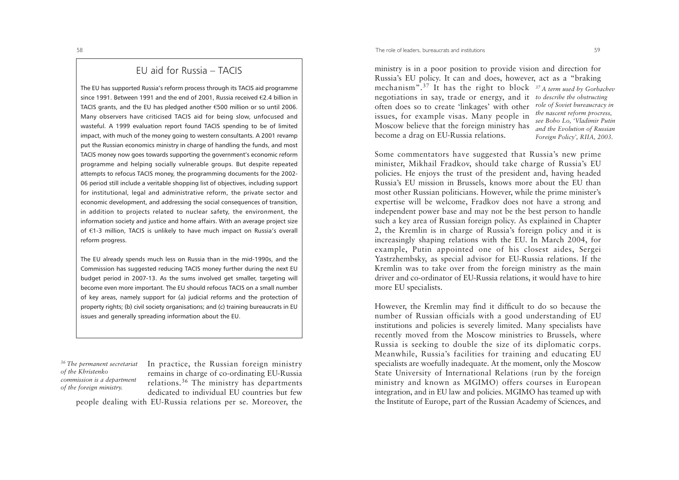# EU aid for Russia – TACIS

The EU has supported Russia's reform process through its TACIS aid programme since 1991. Between 1991 and the end of 2001. Russia received  $\epsilon$ 2.4 billion in TACIS grants, and the EU has pledged another  $\epsilon$ 500 million or so until 2006. Many observers have criticised TACIS aid for being slow, unfocused and wasteful. A 1999 evaluation report found TACIS spending to be of limited impact, with much of the money going to western consultants. A 2001 revamp put the Russian economics ministry in charge of handling the funds, and most TACIS money now goes towards supporting the government's economic reform programme and helping socially vulnerable groups. But despite repeated attempts to refocus TACIS money, the programming documents for the 2002- 06 period still include a veritable shopping list of objectives, including support for institutional, legal and administrative reform, the private sector and economic development, and addressing the social consequences of transition, in addition to projects related to nuclear safety, the environment, the information society and justice and home affairs. With an average project size of  $E1-3$  million, TACIS is unlikely to have much impact on Russia's overall reform progress.

The EU already spends much less on Russia than in the mid-1990s, and the Commission has suggested reducing TACIS money further during the next EU budget period in 2007-13. As the sums involved get smaller, targeting will become even more important. The EU should refocus TACIS on a small number of key areas, namely support for (a) judicial reforms and the protection of property rights; (b) civil society organisations; and (c) training bureaucrats in EU issues and generally spreading information about the EU.

*36 The permanent secretariat of the Khristenko commission is a department of the foreign ministry.*

In practice, the Russian foreign ministry remains in charge of co-ordinating EU-Russia relations.<sup>36</sup> The ministry has departments dedicated to individual EU countries but few

people dealing with EU-Russia relations per se. Moreover, the

ministry is in a poor position to provide vision and direction for Russia's EU policy. It can and does, however, act as a "braking mechanism".<sup>37</sup> It has the right to block *37 A term used by Gorbachev* negotiations in say, trade or energy, and it *to describe the obstructing* often does so to create 'linkages' with other issues, for example visas. Many people in Moscow believe that the foreign ministry has become a drag on EU-Russia relations.

*role of Soviet bureaucracy in the nascent reform procress, see Bobo Lo, 'Vladimir Putin and the Evolution of Russian Foreign Policy', RIIA, 2003.* 

Some commentators have suggested that Russia's new prime minister, Mikhail Fradkov, should take charge of Russia's EU policies. He enjoys the trust of the president and, having headed Russia's EU mission in Brussels, knows more about the EU than most other Russian politicians. However, while the prime minister's expertise will be welcome, Fradkov does not have a strong and independent power base and may not be the best person to handle such a key area of Russian foreign policy. As explained in Chapter 2, the Kremlin is in charge of Russia's foreign policy and it is increasingly shaping relations with the EU. In March 2004, for example, Putin appointed one of his closest aides, Sergei Yastrzhembsky, as special advisor for EU-Russia relations. If the Kremlin was to take over from the foreign ministry as the main driver and co-ordinator of EU-Russia relations, it would have to hire more EU specialists.

However, the Kremlin may find it difficult to do so because the number of Russian officials with a good understanding of EU institutions and policies is severely limited. Many specialists have recently moved from the Moscow ministries to Brussels, where Russia is seeking to double the size of its diplomatic corps. Meanwhile, Russia's facilities for training and educating EU specialists are woefully inadequate. At the moment, only the Moscow State University of International Relations (run by the foreign ministry and known as MGIMO) offers courses in European integration, and in EU law and policies. MGIMO has teamed up with the Institute of Europe, part of the Russian Academy of Sciences, and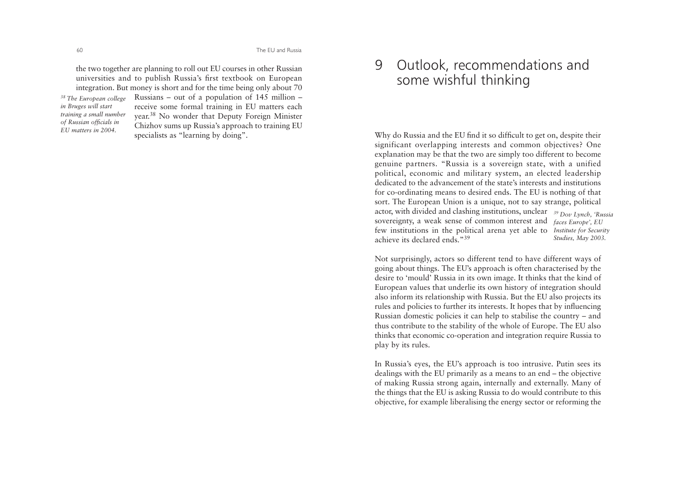the two together are planning to roll out EU courses in other Russian universities and to publish Russia's first textbook on European integration. But money is short and for the time being only about 70 Russians – out of a population of 145 million – receive some formal training in EU matters each year.<sup>38</sup> No wonder that Deputy Foreign Minister Chizhov sums up Russia's approach to training EU specialists as "learning by doing". *38 The European college in Bruges will start training a small number of Russian officials in EU matters in 2004.*

# 9 Outlook, recommendations and some wishful thinking

Why do Russia and the EU find it so difficult to get on, despite their significant overlapping interests and common objectives? One explanation may be that the two are simply too different to become genuine partners. "Russia is a sovereign state, with a unified political, economic and military system, an elected leadership dedicated to the advancement of the state's interests and institutions for co-ordinating means to desired ends. The EU is nothing of that sort. The European Union is a unique, not to say strange, political actor, with divided and clashing institutions, unclear *39 Dov Lynch, 'Russia* sovereignty, a weak sense of common interest and *faces Europe', EU* few institutions in the political arena yet able to *Institute for Security* achieve its declared ends<sup>39</sup> *Studies, May 2003.* 

Not surprisingly, actors so different tend to have different ways of going about things. The EU's approach is often characterised by the desire to 'mould' Russia in its own image. It thinks that the kind of European values that underlie its own history of integration should also inform its relationship with Russia. But the EU also projects its rules and policies to further its interests. It hopes that by influencing Russian domestic policies it can help to stabilise the country – and thus contribute to the stability of the whole of Europe. The EU also thinks that economic co-operation and integration require Russia to <sup>p</sup>lay by its rules.

In Russia's eyes, the EU's approach is too intrusive. Putin sees its dealings with the EU primarily as a means to an end – the objective of making Russia strong again, internally and externally. Many of the things that the EU is asking Russia to do would contribute to this objective, for example liberalising the energy sector or reforming the

60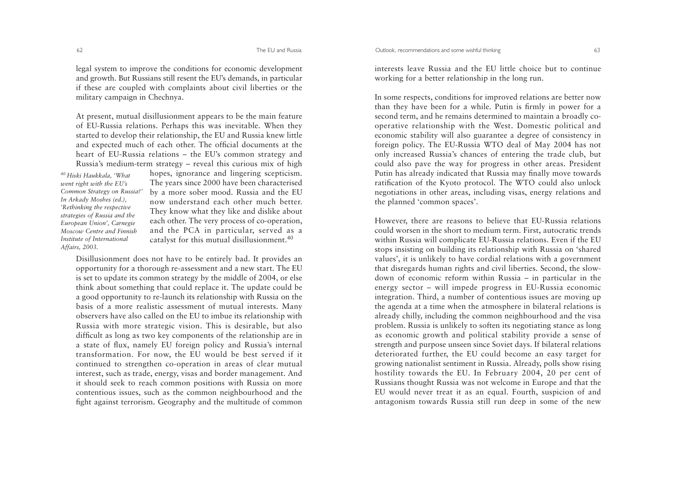legal system to improve the conditions for economic development and growth. But Russians still resent the EU's demands, in particular if these are coupled with complaints about civil liberties or the military campaign in Chechnya.

At present, mutual disillusionment appears to be the main feature of EU-Russia relations. Perhaps this was inevitable. When they started to develop their relationship, the EU and Russia knew little and expected much of each other. The official documents at the heart of EU-Russia relations – the EU's common strategy and Russia's medium-term strategy – reveal this curious mix of high

*40 Hiski Haukkala, 'What went right with the EU's Common Strategy on Russia?' In Arkady Moshes (ed.), 'Rethinking the respective strategies of Russia and the European Union', Carnegie Moscow Centre and FinnishInstitute of International Affairs, 2003.* 

hopes, ignorance and lingering scepticism. The years since 2000 have been characterised by a more sober mood. Russia and the EU now understand each other much better.They know what they like and dislike about each other. The very process of co-operation, and the PCA in particular, served as a catalyst for this mutual disillusionment.<sup>40</sup>

Disillusionment does not have to be entirely bad. It provides an opportunity for a thorough re-assessment and a new start. The EU is set to update its common strategy by the middle of 2004, or else think about something that could replace it. The update could be a good opportunity to re-launch its relationship with Russia on the basis of a more realistic assessment of mutual interests. Many observers have also called on the EU to imbue its relationship with Russia with more strategic vision. This is desirable, but also difficult as long as two key components of the relationship are in a state of flux, namely EU foreign policy and Russia's internal transformation. For now, the EU would be best served if it continued to strengthen co-operation in areas of clear mutual interest, such as trade, energy, visas and border management. And it should seek to reach common positions with Russia on more contentious issues, such as the common neighbourhood and the fight against terrorism. Geography and the multitude of common

interests leave Russia and the EU little choice but to continueworking for a better relationship in the long run.

In some respects, conditions for improved relations are better now than they have been for a while. Putin is firmly in power for a second term, and he remains determined to maintain a broadly cooperative relationship with the West. Domestic political and economic stability will also guarantee a degree of consistency in foreign policy. The EU-Russia WTO deal of May 2004 has not only increased Russia's chances of entering the trade club, but could also pave the way for progress in other areas. President Putin has already indicated that Russia may finally move towards ratification of the Kyoto protocol. The WTO could also unlock negotiations in other areas, including visas, energy relations and the planned 'common spaces'.

However, there are reasons to believe that EU-Russia relations could worsen in the short to medium term. First, autocratic trends within Russia will complicate EU-Russia relations. Even if the EU stops insisting on building its relationship with Russia on 'shared values', it is unlikely to have cordial relations with a government that disregards human rights and civil liberties. Second, the slowdown of economic reform within Russia – in particular in the energy sector – will impede progress in EU-Russia economic integration. Third, a number of contentious issues are moving up the agenda at a time when the atmosphere in bilateral relations is already chilly, including the common neighbourhood and the visa problem. Russia is unlikely to soften its negotiating stance as long as economic growth and political stability provide a sense of strength and purpose unseen since Soviet days. If bilateral relations deteriorated further, the EU could become an easy target for growing nationalist sentiment in Russia. Already, polls show rising hostility towards the EU. In February 2004, 20 per cent of Russians thought Russia was not welcome in Europe and that the EU would never treat it as an equal. Fourth, suspicion of and antagonism towards Russia still run deep in some of the new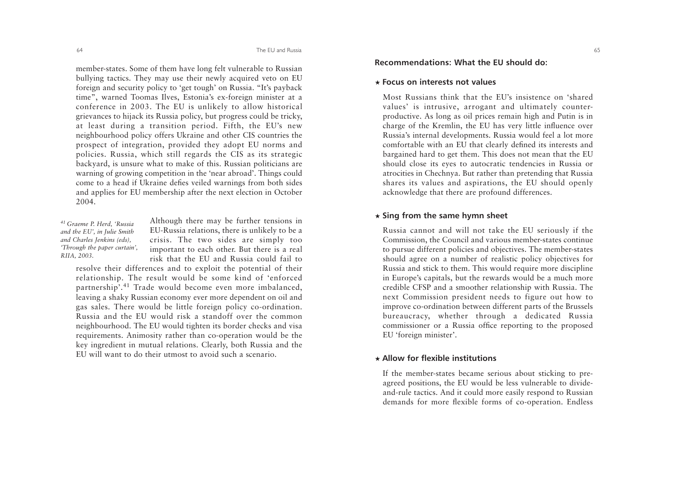member-states. Some of them have long felt vulnerable to Russian bullying tactics. They may use their newly acquired veto on EU foreign and security policy to 'get tough' on Russia. "It's payback time", warned Toomas Ilves, Estonia's ex-foreign minister at a conference in 2003. The EU is unlikely to allow historical grievances to hijack its Russia policy, but progress could be tricky, at least during a transition period. Fifth, the EU's new neighbourhood policy offers Ukraine and other CIS countries the prospect of integration, provided they adopt EU norms and policies. Russia, which still regards the CIS as its strategic backyard, is unsure what to make of this. Russian politicians are warning of growing competition in the 'near abroad'. Things could come to a head if Ukraine defies veiled warnings from both sides and applies for EU membership after the next election in October 2004.

*41 Graeme P. Herd, 'Russia and the EU', in Julie Smith and Charles Jenkins (eds), 'Through the paper curtain', RIIA, 2003.*

Although there may be further tensions in EU-Russia relations, there is unlikely to be a crisis. The two sides are simply too important to each other. But there is a real risk that the EU and Russia could fail to

resolve their differences and to exploit the potential of their relationship. The result would be some kind of 'enforced partnership'.41 Trade would become even more imbalanced, leaving a shaky Russian economy ever more dependent on oil and gas sales. There would be little foreign policy co-ordination. Russia and the EU would risk a standoff over the commonneighbourhood. The EU would tighten its border checks and visa requirements. Animosity rather than co-operation would be the key ingredient in mutual relations. Clearly, both Russia and the EU will want to do their utmost to avoid such a scenario.

## **Recommendations: What the EU should do:**

#### ★ **Focus on interests not values**

Most Russians think that the EU's insistence on 'sharedvalues' is intrusive, arrogant and ultimately counterproductive. As long as oil prices remain high and Putin is in charge of the Kremlin, the EU has very little influence over Russia's internal developments. Russia would feel a lot more comfortable with an EU that clearly defined its interests and bargained hard to get them. This does not mean that the EU should close its eyes to autocratic tendencies in Russia or atrocities in Chechnya. But rather than pretending that Russia shares its values and aspirations, the EU should openly acknowledge that there are profound differences.

#### ★ **Sing from the same hymn sheet**

Russia cannot and will not take the EU seriously if the Commission, the Council and various member-states continue to pursue different policies and objectives. The member-states should agree on a number of realistic policy objectives for Russia and stick to them. This would require more discipline in Europe's capitals, but the rewards would be a much more credible CFSP and a smoother relationship with Russia. The next Commission president needs to figure out how to improve co-ordination between different parts of the Brussels bureaucracy, whether through a dedicated Russia commissioner or a Russia office reporting to the proposed EU 'foreign minister'.

#### ★ **Allow for flexible institutions**

If the member-states became serious about sticking to preagreed positions, the EU would be less vulnerable to divideand-rule tactics. And it could more easily respond to Russian demands for more flexible forms of co-operation. Endless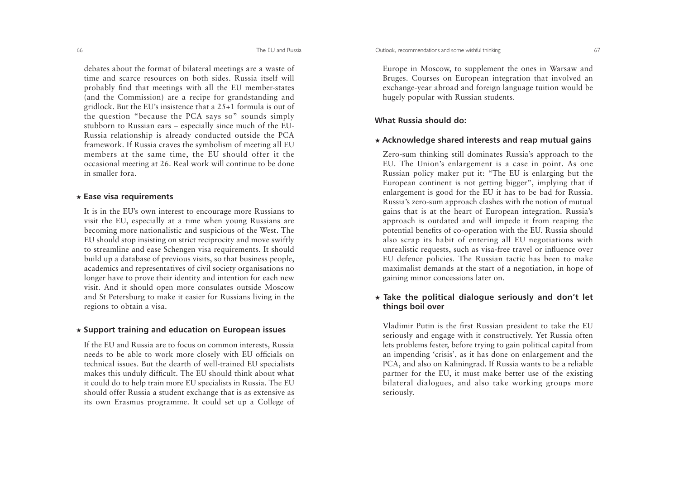The EU and Russia

debates about the format of bilateral meetings are a waste of time and scarce resources on both sides. Russia itself willprobably find that meetings with all the EU member-states (and the Commission) are a recipe for grandstanding and gridlock. But the EU's insistence that a 25+1 formula is out of the question "because the PCA says so" sounds simply stubborn to Russian ears – especially since much of the EU-Russia relationship is already conducted outside the PCA framework. If Russia craves the symbolism of meeting all EU members at the same time, the EU should offer it the occasional meeting at 26. Real work will continue to be done in smaller fora.

#### ★ **Ease visa requirements**

It is in the EU's own interest to encourage more Russians to visit the EU, especially at a time when young Russians are becoming more nationalistic and suspicious of the West. The EU should stop insisting on strict reciprocity and move swiftly to streamline and ease Schengen visa requirements. It should build up a database of previous visits, so that business people, academics and representatives of civil society organisations no longer have to prove their identity and intention for each new visit. And it should open more consulates outside Moscow and St Petersburg to make it easier for Russians living in the regions to obtain a visa.

#### ★ **Support training and education on European issues**

If the EU and Russia are to focus on common interests, Russia needs to be able to work more closely with EU officials on technical issues. But the dearth of well-trained EU specialists makes this unduly difficult. The EU should think about what it could do to help train more EU specialists in Russia. The EU should offer Russia a student exchange that is as extensive as its own Erasmus programme. It could set up a College of

Europe in Moscow, to supplement the ones in Warsaw and Bruges. Courses on European integration that involved an exchange-year abroad and foreign language tuition would be hugely popular with Russian students.

# **What Russia should do:**

#### ★ **Acknowledge shared interests and reap mutual gains**

Zero-sum thinking still dominates Russia's approach to the EU. The Union's enlargement is a case in point. As one Russian policy maker put it: "The EU is enlarging but the European continent is not getting bigger", implying that if enlargement is good for the EU it has to be bad for Russia. Russia's zero-sum approach clashes with the notion of mutual gains that is at the heart of European integration. Russia's approach is outdated and will impede it from reaping the potential benefits of co-operation with the EU. Russia should also scrap its habit of entering all EU negotiations with unrealistic requests, such as visa-free travel or influence over EU defence policies. The Russian tactic has been to make maximalist demands at the start of a negotiation, in hope of gaining minor concessions later on.

# ★**Take the political dialogue seriously and don't let things boil over**

Vladimir Putin is the first Russian president to take the EU seriously and engage with it constructively. Yet Russia often lets problems fester, before trying to gain political capital from an impending 'crisis', as it has done on enlargement and the PCA, and also on Kaliningrad. If Russia wants to be a reliable partner for the EU, it must make better use of the existing bilateral dialogues, and also take working groups more seriously.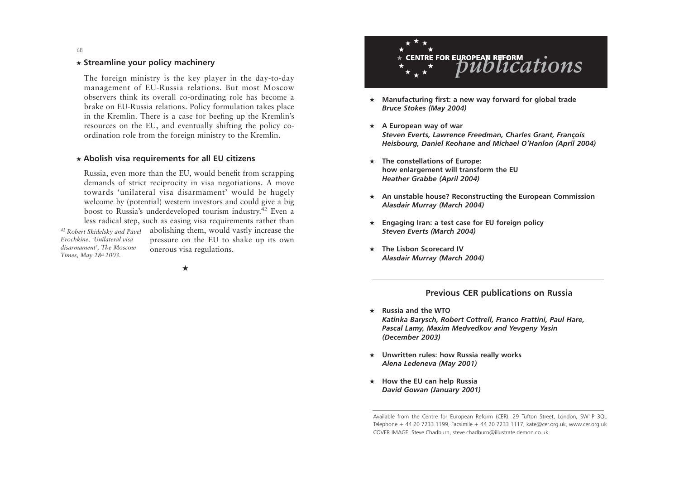68

# ★ **Streamline your policy machinery**

The foreign ministry is the key player in the day-to-day management of EU-Russia relations. But most Moscow observers think its overall co-ordinating role has become a brake on EU-Russia relations. Policy formulation takes place in the Kremlin. There is a case for beefing up the Kremlin's resources on the EU, and eventually shifting the policy coordination role from the foreign ministry to the Kremlin.

### ★ **Abolish visa requirements for all EU citizens**

Russia, even more than the EU, would benefit from scrapping demands of strict reciprocity in visa negotiations. A move towards 'unilateral visa disarmament' would be hugely welcome by (potential) western investors and could give a big boost to Russia's underdeveloped tourism industry.42 Even a less radical step, such as easing visa requirements rather than <sup>42</sup> Robert Skidelsky and Pavel abolishing them, would vastly increase the pressure on the EU to shake up its own onerous visa regulations. *Erochkine, 'Unilateral visa disarmament', The Moscow Times, May 28th 2003.*

★



- ★ **Manufacturing first: a new way forward for global trade**  *Bruce Stokes (May 2004)*
- ★ **A European way of war** *Steven Everts, Lawrence Freedman, Charles Grant, François Heisbourg, Daniel Keohane and Michael O'Hanlon (April 2004)*
- ★ **The constellations of Europe: how enlargement will transform the EU**  *Heather Grabbe (April 2004)*
- ★ **An unstable house? Reconstructing the European Commission**  *Alasdair Murray (March 2004)*
- ★ **Engaging Iran: a test case for EU foreign policy** *Steven Everts (March 2004)*
- ★ **The Lisbon Scorecard IV** *Alasdair Murray (March 2004)*

# **Previous CER publications on Russia**

- ★ **Russia and the WTO**  *Katinka Barysch, Robert Cottrell, Franco Frattini, Paul Hare, Pascal Lamy, Maxim Medvedkov and Yevgeny Yasin (December 2003)*
- ★ **Unwritten rules: how Russia really works** *Alena Ledeneva (May 2001)*
- ★ **How the EU can help Russia**  *David Gowan (January 2001)*

Available from the Centre for European Reform (CER), 29 Tufton Street, London, SW1P 3QL Telephone + 44 20 7233 1199, Facsimile + 44 20 7233 1117, kate@cer.org.uk, www.cer.org.uk COVER IMAGE: Steve Chadburn, steve.chadburn@illustrate.demon.co.uk